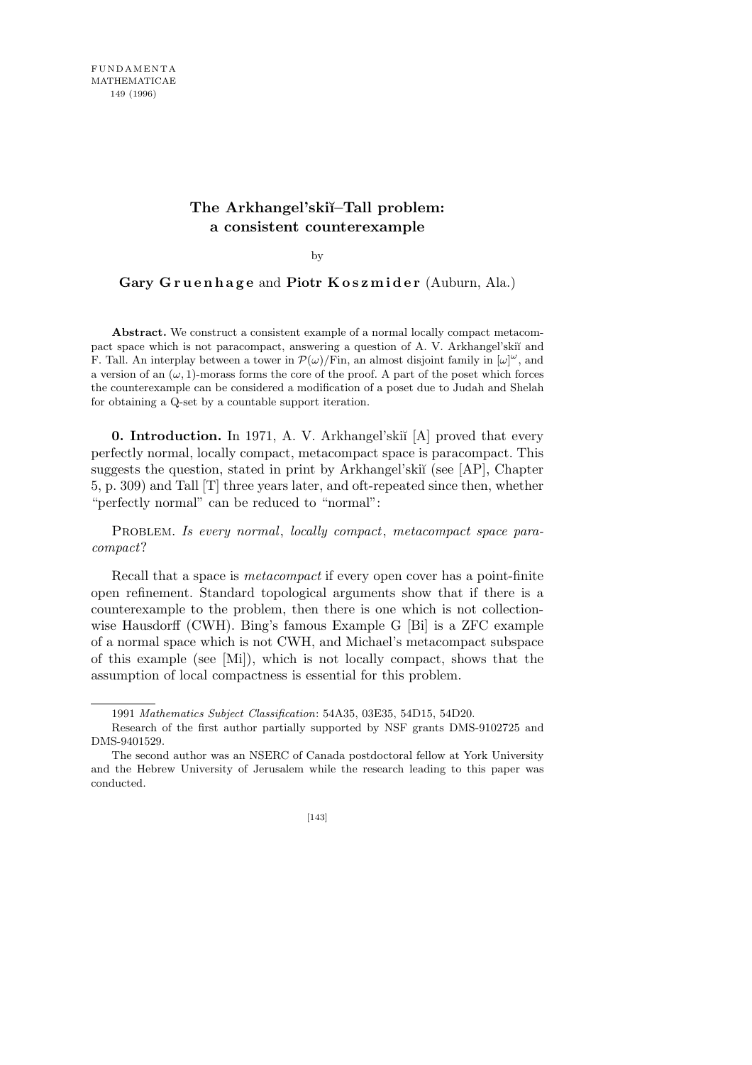## **The Arkhangel'ski˘ı–Tall problem: a consistent counterexample**

by

## Gary Gruenhage and Piotr Koszmider (Auburn, Ala.)

**Abstract.** We construct a consistent example of a normal locally compact metacompact space which is not paracompact, answering a question of A. V. Arkhangel'skiı and F. Tall. An interplay between a tower in  $\mathcal{P}(\omega)/\text{Fin}$ , an almost disjoint family in  $[\omega]^{\omega}$ , and a version of an  $(\omega, 1)$ -morass forms the core of the proof. A part of the poset which forces the counterexample can be considered a modification of a poset due to Judah and Shelah for obtaining a Q-set by a countable support iteration.

**0. Introduction.** In 1971, A. V. Arkhangel'ski˘ı [A] proved that every perfectly normal, locally compact, metacompact space is paracompact. This suggests the question, stated in print by Arkhangel'skiï (see [AP], Chapter 5, p. 309) and Tall [T] three years later, and oft-repeated since then, whether "perfectly normal" can be reduced to "normal":

PROBLEM. *Is every normal, locally compact, metacompact space paracompact*?

Recall that a space is *metacompact* if every open cover has a point-finite open refinement. Standard topological arguments show that if there is a counterexample to the problem, then there is one which is not collectionwise Hausdorff (CWH). Bing's famous Example G [Bi] is a ZFC example of a normal space which is not CWH, and Michael's metacompact subspace of this example (see [Mi]), which is not locally compact, shows that the assumption of local compactness is essential for this problem.

<sup>1991</sup> *Mathematics Subject Classification*: 54A35, 03E35, 54D15, 54D20.

Research of the first author partially supported by NSF grants DMS-9102725 and DMS-9401529.

The second author was an NSERC of Canada postdoctoral fellow at York University and the Hebrew University of Jerusalem while the research leading to this paper was conducted.

<sup>[143]</sup>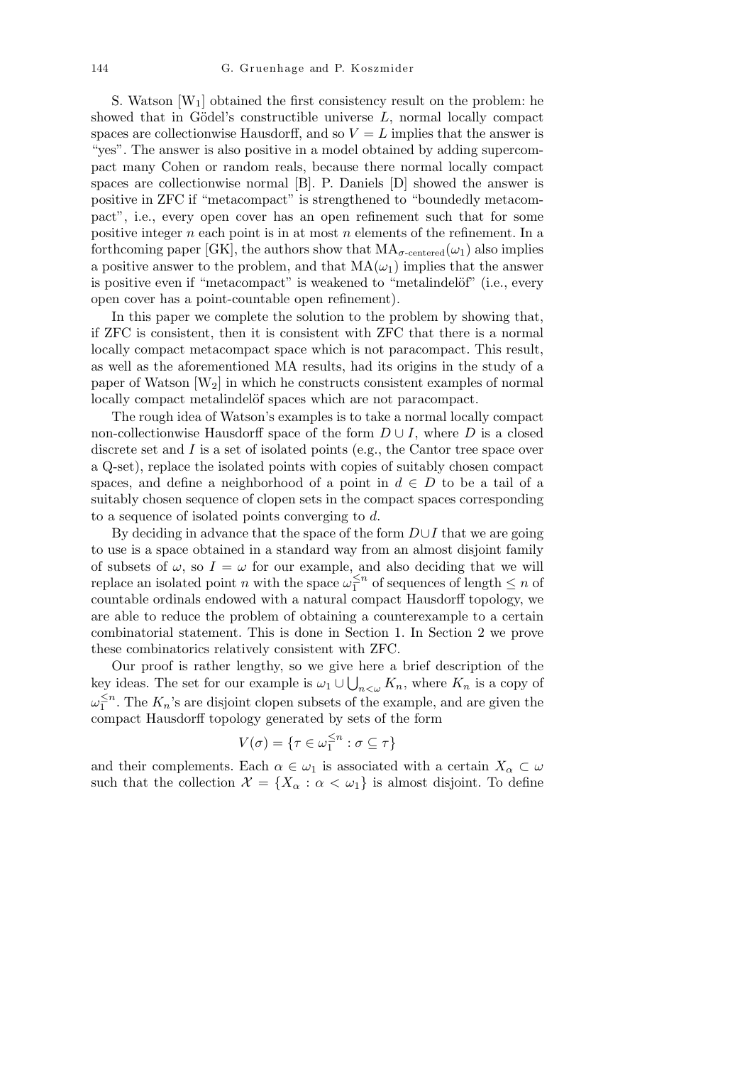S. Watson  $[W_1]$  obtained the first consistency result on the problem: he showed that in Gödel's constructible universe  $L$ , normal locally compact spaces are collectionwise Hausdorff, and so  $V = L$  implies that the answer is "yes". The answer is also positive in a model obtained by adding supercompact many Cohen or random reals, because there normal locally compact spaces are collectionwise normal [B]. P. Daniels [D] showed the answer is positive in ZFC if "metacompact" is strengthened to "boundedly metacompact", i.e., every open cover has an open refinement such that for some positive integer *n* each point is in at most *n* elements of the refinement. In a forthcoming paper [GK], the authors show that  $MA_{\sigma\text{-centered}}(\omega_1)$  also implies a positive answer to the problem, and that  $MA(\omega_1)$  implies that the answer is positive even if "metacompact" is weakened to "metalindelöf" (i.e., every open cover has a point-countable open refinement).

In this paper we complete the solution to the problem by showing that, if ZFC is consistent, then it is consistent with ZFC that there is a normal locally compact metacompact space which is not paracompact. This result, as well as the aforementioned MA results, had its origins in the study of a paper of Watson  $[W_2]$  in which he constructs consistent examples of normal locally compact metalindelöf spaces which are not paracompact.

The rough idea of Watson's examples is to take a normal locally compact non-collectionwise Hausdorff space of the form  $D \cup I$ , where  $D$  is a closed discrete set and *I* is a set of isolated points (e.g., the Cantor tree space over a Q-set), replace the isolated points with copies of suitably chosen compact spaces, and define a neighborhood of a point in  $d \in D$  to be a tail of a suitably chosen sequence of clopen sets in the compact spaces corresponding to a sequence of isolated points converging to *d*.

By deciding in advance that the space of the form *D∪I* that we are going to use is a space obtained in a standard way from an almost disjoint family of subsets of  $\omega$ , so  $I = \omega$  for our example, and also deciding that we will replace an isolated point *n* with the space  $\omega_1^{\leq n}$  $\frac{1}{1}$ <sup>n</sup> of sequences of length  $\leq n$  of countable ordinals endowed with a natural compact Hausdorff topology, we are able to reduce the problem of obtaining a counterexample to a certain combinatorial statement. This is done in Section 1. In Section 2 we prove these combinatorics relatively consistent with ZFC.

Our proof is rather lengthy, so we give here a brief description of the key ideas. The set for our example is  $\omega_1 \cup \bigcup_{n<\omega} K_n$ , where  $K_n$  is a copy of *ω ≤n*  $\frac{1}{1}$ <sup>n</sup>. The  $K_n$ 's are disjoint clopen subsets of the example, and are given the compact Hausdorff topology generated by sets of the form

$$
V(\sigma)=\{\tau\in\omega_1^{\leq n}:\sigma\subseteq\tau\}
$$

and their complements. Each  $\alpha \in \omega_1$  is associated with a certain  $X_\alpha \subset \omega$ such that the collection  $\mathcal{X} = \{X_\alpha : \alpha < \omega_1\}$  is almost disjoint. To define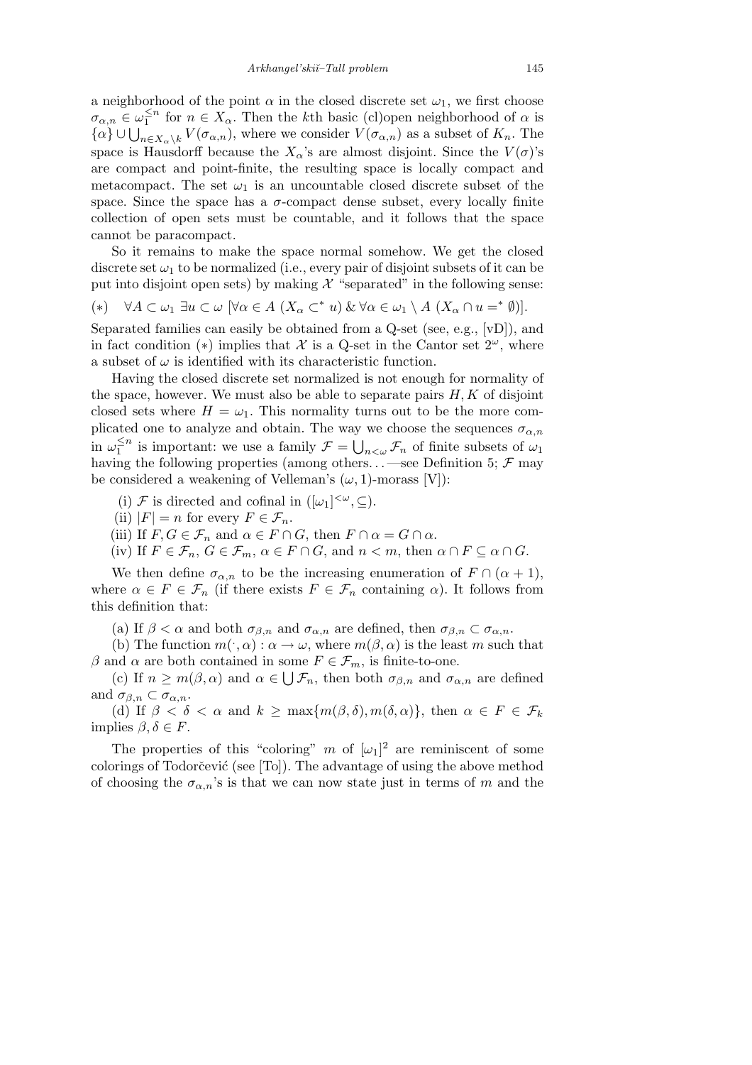a neighborhood of the point  $\alpha$  in the closed discrete set  $\omega_1$ , we first choose  $\sigma_{\alpha,n} \in \omega_1^{\leq n}$  $\frac{1}{1}$  for  $n \in X_\alpha$ . Then the *k*<sup>th</sup> basic (cl)open neighborhood of  $\alpha$  is  $\alpha_{\alpha,n} \in \omega_1^-$  for  $n \in \Lambda_\alpha$ . Then the *K*th basic (cr)open heighborhood of  $\alpha$  is  $\{\alpha\} \cup \bigcup_{n \in X_\alpha \setminus k} V(\sigma_{\alpha,n})$ , where we consider  $V(\sigma_{\alpha,n})$  as a subset of  $K_n$ . The space is Hausdorff because the  $X_{\alpha}$ 's are almost disjoint. Since the  $V(\sigma)$ 's are compact and point-finite, the resulting space is locally compact and metacompact. The set  $\omega_1$  is an uncountable closed discrete subset of the space. Since the space has a  $\sigma$ -compact dense subset, every locally finite collection of open sets must be countable, and it follows that the space cannot be paracompact.

So it remains to make the space normal somehow. We get the closed discrete set  $\omega_1$  to be normalized (i.e., every pair of disjoint subsets of it can be put into disjoint open sets) by making  $\mathcal X$  "separated" in the following sense:

(\*)  $\forall A \subset \omega_1 \; \exists u \subset \omega \; [\forall \alpha \in A \; (X_\alpha \subset^* u) \& \forall \alpha \in \omega_1 \setminus A \; (X_\alpha \cap u =^* \emptyset)].$ 

Separated families can easily be obtained from a Q-set (see, e.g., [vD]), and in fact condition (\*) implies that  $\mathcal X$  is a Q-set in the Cantor set  $2^\omega$ , where a subset of  $\omega$  is identified with its characteristic function.

Having the closed discrete set normalized is not enough for normality of the space, however. We must also be able to separate pairs  $H, K$  of disjoint closed sets where  $H = \omega_1$ . This normality turns out to be the more complicated one to analyze and obtain. The way we choose the sequences  $\sigma_{\alpha,n}$ in  $\omega_1^{\leq n}$  $\frac{1}{1}$ <sup>n</sup> is important: we use a family  $\mathcal{F} =$ y.<br>''  $n<sub>\omega</sub>$ *F<sub>n</sub>* of finite subsets of  $\omega_1$ having the following properties (among others... —see Definition 5;  $\mathcal F$  may be considered a weakening of Velleman's  $(\omega, 1)$ -morass [V]):

(i) *F* is directed and cofinal in  $([\omega_1]^{<\omega}, \subseteq)$ .

(ii)  $|F| = n$  for every  $F \in \mathcal{F}_n$ .

(iii) If  $F, G \in \mathcal{F}_n$  and  $\alpha \in F \cap G$ , then  $F \cap \alpha = G \cap \alpha$ .

(iv) If  $F \in \mathcal{F}_n$ ,  $G \in \mathcal{F}_m$ ,  $\alpha \in F \cap G$ , and  $n < m$ , then  $\alpha \cap F \subseteq \alpha \cap G$ .

We then define  $\sigma_{\alpha,n}$  to be the increasing enumeration of  $F \cap (\alpha + 1)$ , where  $\alpha \in F \in \mathcal{F}_n$  (if there exists  $F \in \mathcal{F}_n$  containing  $\alpha$ ). It follows from this definition that:

(a) If  $\beta < \alpha$  and both  $\sigma_{\beta,n}$  and  $\sigma_{\alpha,n}$  are defined, then  $\sigma_{\beta,n} \subset \sigma_{\alpha,n}$ .

(b) The function  $m(\cdot, \alpha) : \alpha \to \omega$ , where  $m(\beta, \alpha)$  is the least *m* such that *β* and *α* are both contained in some  $F \in \mathcal{F}_m$ , is finite-to-one.

(c) If  $n \geq m(\beta, \alpha)$  and  $\alpha \in \bigcup \mathcal{F}_n$ , then both  $\sigma_{\beta,n}$  and  $\sigma_{\alpha,n}$  are defined and  $\sigma_{\beta,n} \subset \sigma_{\alpha,n}$ .

(d) If  $\beta < \delta < \alpha$  and  $k \ge \max\{m(\beta,\delta), m(\delta,\alpha)\}\)$ , then  $\alpha \in F \in \mathcal{F}_k$ implies *β, δ ∈ F*.

The properties of this "coloring" *m* of  $[\omega_1]^2$  are reminiscent of some colorings of Todorčević (see [To]). The advantage of using the above method of choosing the  $\sigma_{\alpha,n}$ 's is that we can now state just in terms of *m* and the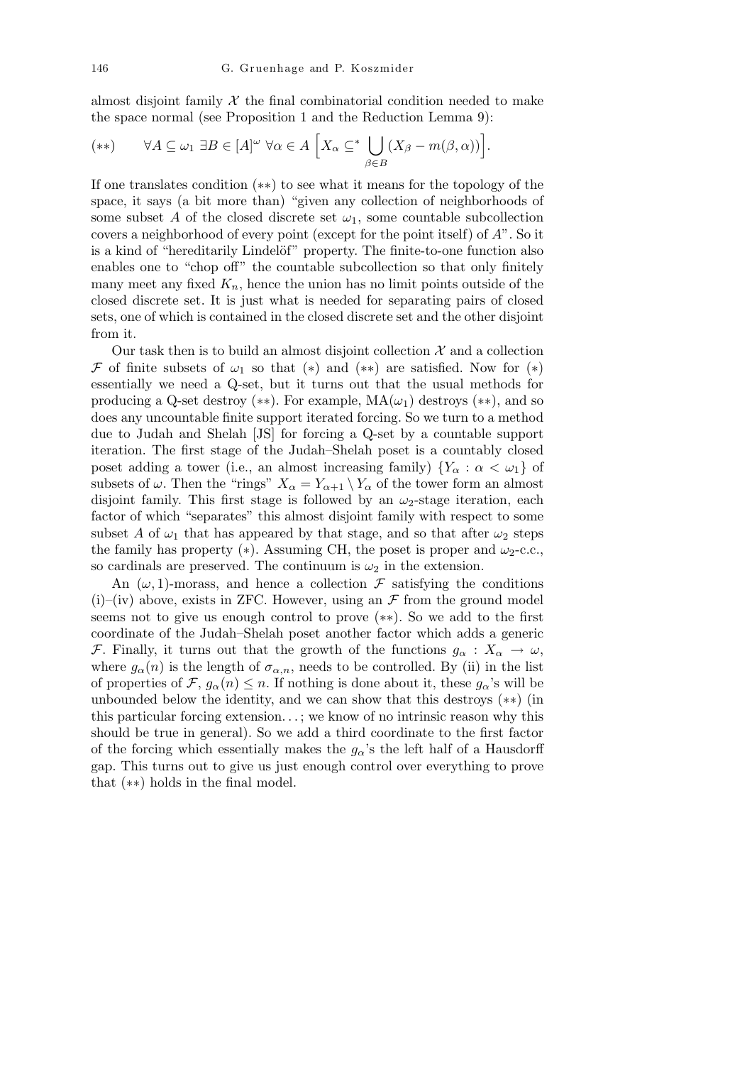almost disjoint family  $\mathcal X$  the final combinatorial condition needed to make the space normal (see Proposition 1 and the Reduction Lemma 9):

$$
(**) \qquad \forall A \subseteq \omega_1 \ \exists B \in [A]^{\omega} \ \forall \alpha \in A \ \Big[ X_{\alpha} \subseteq^* \bigcup_{\beta \in B} (X_{\beta} - m(\beta, \alpha)) \Big].
$$

If one translates condition (*∗∗*) to see what it means for the topology of the space, it says (a bit more than) "given any collection of neighborhoods of some subset *A* of the closed discrete set  $\omega_1$ , some countable subcollection covers a neighborhood of every point (except for the point itself) of *A*". So it is a kind of "hereditarily Lindelöf" property. The finite-to-one function also enables one to "chop off" the countable subcollection so that only finitely many meet any fixed  $K_n$ , hence the union has no limit points outside of the closed discrete set. It is just what is needed for separating pairs of closed sets, one of which is contained in the closed discrete set and the other disjoint from it.

Our task then is to build an almost disjoint collection  $\mathcal X$  and a collection *F* of finite subsets of  $\omega_1$  so that (\*) and (\*\*) are satisfied. Now for (\*) essentially we need a Q-set, but it turns out that the usual methods for producing a Q-set destroy (\*\*). For example,  $MA(\omega_1)$  destroys (\*\*), and so does any uncountable finite support iterated forcing. So we turn to a method due to Judah and Shelah [JS] for forcing a Q-set by a countable support iteration. The first stage of the Judah–Shelah poset is a countably closed poset adding a tower (i.e., an almost increasing family)  ${Y_\alpha : \alpha < \omega_1}$  of subsets of  $\omega$ . Then the "rings"  $X_{\alpha} = Y_{\alpha+1} \setminus Y_{\alpha}$  of the tower form an almost disjoint family. This first stage is followed by an *ω*2-stage iteration, each factor of which "separates" this almost disjoint family with respect to some subset *A* of  $\omega_1$  that has appeared by that stage, and so that after  $\omega_2$  steps the family has property  $(*)$ . Assuming CH, the poset is proper and  $\omega_2$ -c.c., so cardinals are preserved. The continuum is  $\omega_2$  in the extension.

An  $(\omega, 1)$ -morass, and hence a collection  $\mathcal F$  satisfying the conditions  $(i)$ –(iv) above, exists in ZFC. However, using an  $\mathcal F$  from the ground model seems not to give us enough control to prove (*∗∗*). So we add to the first coordinate of the Judah–Shelah poset another factor which adds a generic *F*. Finally, it turns out that the growth of the functions  $g_\alpha : X_\alpha \to \omega$ , where  $g_{\alpha}(n)$  is the length of  $\sigma_{\alpha,n}$ , needs to be controlled. By (ii) in the list of properties of *F*,  $g_{\alpha}(n) \leq n$ . If nothing is done about it, these  $g_{\alpha}$ 's will be unbounded below the identity, and we can show that this destroys (*∗∗*) (in this particular forcing extension*. . .* ; we know of no intrinsic reason why this should be true in general). So we add a third coordinate to the first factor of the forcing which essentially makes the  $g_\alpha$ 's the left half of a Hausdorff gap. This turns out to give us just enough control over everything to prove that (*∗∗*) holds in the final model.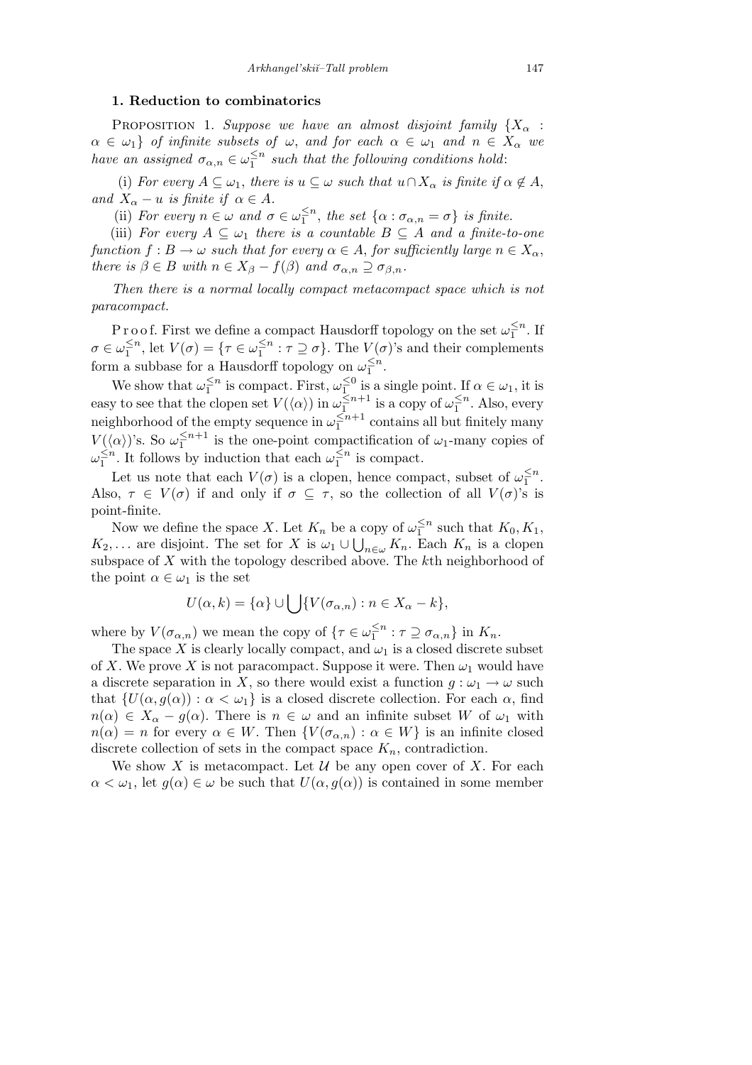## **1. Reduction to combinatorics**

PROPOSITION 1. *Suppose we have an almost disjoint family*  ${X_\alpha}$ :  $\alpha \in \omega_1$ *f of infinite subsets of*  $\omega$ *, and for each*  $\alpha \in \omega_1$  *and*  $n \in X_\alpha$  *we have an assigned*  $\sigma_{\alpha,n} \in \omega_1^{\leq n}$  $\frac{1}{1}$ <sup>n</sup> such that the following conditions hold:

(i) *For every*  $A \subseteq \omega_1$ , *there is*  $u \subseteq \omega$  *such that*  $u \cap X_\alpha$  *is finite if*  $\alpha \notin A$ , *and*  $X_{\alpha} - u$  *is finite if*  $\alpha \in A$ *.* 

(ii) *For every*  $n \in \omega$  *and*  $\sigma \in \omega_1^{\leq n}$  $\frac{\leq n}{1}$ , the set  $\{\alpha : \sigma_{\alpha,n} = \sigma\}$  is finite.

(iii) *For every*  $A \subseteq \omega_1$  *there is a countable*  $B \subseteq A$  *and a finite-to-one function*  $f : B \to \omega$  *such that for every*  $\alpha \in A$ , *for sufficiently large*  $n \in X_\alpha$ , *there is*  $\beta \in B$  *with*  $n \in X_{\beta} - f(\beta)$  *and*  $\sigma_{\alpha,n} \supseteq \sigma_{\beta,n}$ *.* 

*Then there is a normal locally compact metacompact space which is not paracompact.*

P r o o f. First we define a compact Hausdorff topology on the set  $\omega_1^{\leq n}$  $\frac{5}{1}^n$ . If *σ* ∈  $ω_1^{\leq n}$  $\frac{\leq n}{1}$ , let  $V(\sigma) = \{\tau \in \omega_1^{\leq n}\}$  $\frac{\leq n}{1}$ :  $\tau \supseteq \sigma$ . The  $V(\sigma)$ 's and their complements form a subbase for a Hausdorff topology on  $\omega_1^{\leq n}$ . 1

We show that  $\omega_1^{\leq n}$  $\frac{\leq n}{1}$  is compact. First,  $\omega_1^{\leq 0}$  $\frac{1}{1}$  is a single point. If  $\alpha \in \omega_1$ , it is easy to see that the clopen set  $V(\langle \alpha \rangle)$  in  $\omega_1^{\leq n+1}$  $\frac{\leq n+1}{1}$  is a copy of  $\omega_1^{\leq n}$  $\frac{1}{1}$ <sup>n</sup>. Also, every neighborhood of the empty sequence in  $\omega_1^{\leq n+1}$  $\frac{1}{1}^{n+1}$  contains all but finitely many *V*( $\langle \alpha \rangle$ )'s. So  $\omega_1^{\leq n+1}$  $\frac{\leq n+1}{1}$  is the one-point compactification of  $\omega_1$ -many copies of *ω ≤n*  $\frac{\leq n}{1}$ . It follows by induction that each  $\omega_1^{\leq n}$  $\frac{1}{1}^n$  is compact.

Let us note that each  $V(\sigma)$  is a clopen, hence compact, subset of  $\omega_1^{\leq n}$  $\frac{6}{1}$ . Also,  $\tau \in V(\sigma)$  if and only if  $\sigma \subseteq \tau$ , so the collection of all  $V(\sigma)$ 's is point-finite.

Now we define the space *X*. Let  $K_n$  be a copy of  $\omega_1^{\leq n}$ a copy of  $\omega_1^{\leq n}$  such that  $K_0, K_1$ , *K*<sub>2</sub>,... are disjoint. The set for *X* is  $\omega_1 \cup \bigcup_{n \in \omega} K_n$ . Each  $K_n$  is a clopen subspace of *X* with the topology described above. The *k*th neighborhood of the point  $\alpha \in \omega_1$  is the set

$$
U(\alpha,k) = \{\alpha\} \cup \bigcup \{V(\sigma_{\alpha,n}) : n \in X_{\alpha} - k\},\
$$

where by  $V(\sigma_{\alpha,n})$  we mean the copy of  $\{\tau \in \omega_1^{\leq n}\}$  $\frac{\leq n}{1}$ :  $\tau \supseteq \sigma_{\alpha,n}$ } in  $K_n$ .

The space *X* is clearly locally compact, and  $\omega_1$  is a closed discrete subset of X. We prove X is not paracompact. Suppose it were. Then  $\omega_1$  would have a discrete separation in *X*, so there would exist a function  $g: \omega_1 \to \omega$  such that  $\{U(\alpha, g(\alpha)) : \alpha < \omega_1\}$  is a closed discrete collection. For each  $\alpha$ , find  $n(\alpha) \in X_\alpha - g(\alpha)$ . There is  $n \in \omega$  and an infinite subset *W* of  $\omega_1$  with  $n(\alpha) = n$  for every  $\alpha \in W$ . Then  $\{V(\sigma_{\alpha,n}) : \alpha \in W\}$  is an infinite closed discrete collection of sets in the compact space  $K_n$ , contradiction.

We show X is metacompact. Let  $\mathcal U$  be any open cover of X. For each  $\alpha < \omega_1$ , let  $g(\alpha) \in \omega$  be such that  $U(\alpha, g(\alpha))$  is contained in some member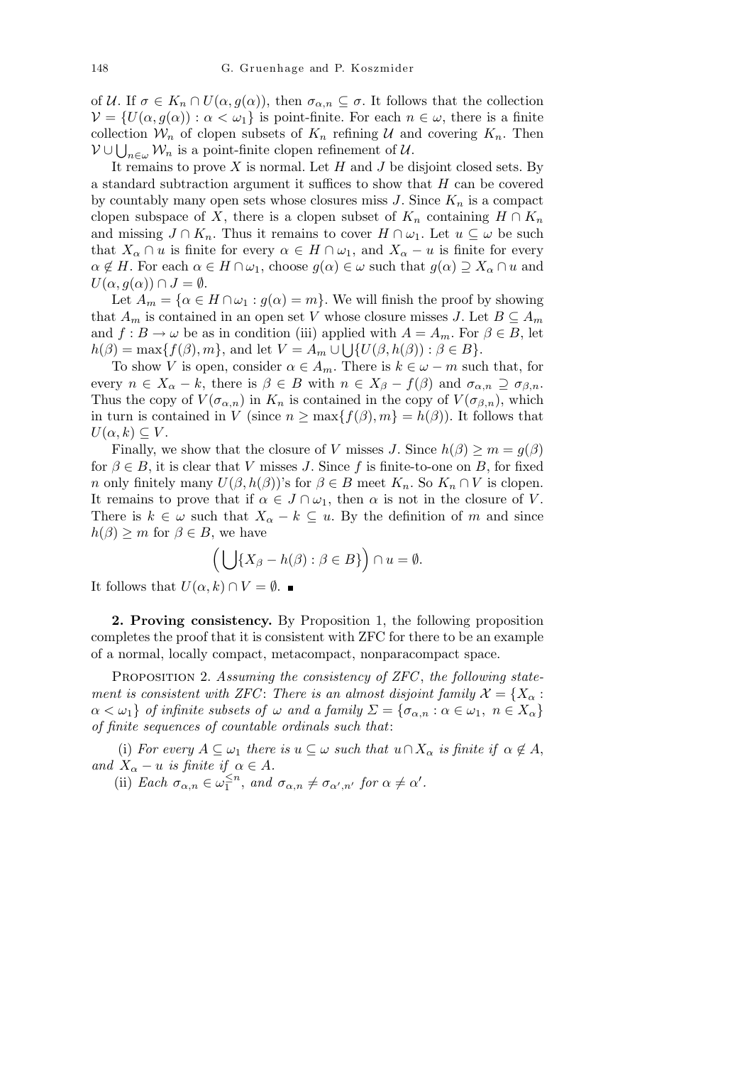of *U*. If  $\sigma \in K_n \cap U(\alpha, g(\alpha))$ , then  $\sigma_{\alpha,n} \subseteq \sigma$ . It follows that the collection  $V = \{U(\alpha, g(\alpha)) : \alpha < \omega_1\}$  is point-finite. For each  $n \in \omega$ , there is a finite collection  $W_n$  of clopen subsets of  $K_n$  refining  $U$  and covering  $K_n$ . Then *V* ∪  $\bigcup_{n\in\omega}$  *W<sub>n</sub>* is a point-finite clopen refinement of *U*.

It remains to prove *X* is normal. Let *H* and *J* be disjoint closed sets. By a standard subtraction argument it suffices to show that *H* can be covered by countably many open sets whose closures miss  $J$ . Since  $K_n$  is a compact clopen subspace of *X*, there is a clopen subset of  $K_n$  containing  $H \cap K_n$ and missing  $J \cap K_n$ . Thus it remains to cover  $H \cap \omega_1$ . Let  $u \subseteq \omega$  be such that  $X_\alpha \cap u$  is finite for every  $\alpha \in H \cap \omega_1$ , and  $X_\alpha - u$  is finite for every  $\alpha \notin H$ . For each  $\alpha \in H \cap \omega_1$ , choose  $g(\alpha) \in \omega$  such that  $g(\alpha) \supseteq X_\alpha \cap u$  and  $U(\alpha, g(\alpha)) \cap J = \emptyset$ .

Let  $A_m = \{ \alpha \in H \cap \omega_1 : g(\alpha) = m \}$ . We will finish the proof by showing that  $A_m$  is contained in an open set *V* whose closure misses *J*. Let  $B \subseteq A_m$ and  $f : B \to \omega$  be as in condition (iii) applied with  $A = A_m$ . For  $\beta \in B$ , let  $h(\beta) = \max\{f(\beta), m\}$ , and let  $V = A_m \cup \bigcup\{U(\beta, h(\beta)) : \beta \in B\}$ .

To show *V* is open, consider  $\alpha \in A_m$ . There is  $k \in \omega - m$  such that, for every  $n \in X_\alpha - k$ , there is  $\beta \in B$  with  $n \in X_\beta - f(\beta)$  and  $\sigma_{\alpha,n} \supseteq \sigma_{\beta,n}$ . Thus the copy of  $V(\sigma_{\alpha,n})$  in  $K_n$  is contained in the copy of  $V(\sigma_{\beta,n})$ , which in turn is contained in *V* (since  $n \ge \max\{f(\beta), m\} = h(\beta)$ ). It follows that  $U(\alpha, k) \subseteq V$ .

Finally, we show that the closure of *V* misses *J*. Since  $h(\beta) \geq m = g(\beta)$ for  $\beta \in B$ , it is clear that *V* misses *J*. Since *f* is finite-to-one on *B*, for fixed *n* only finitely many  $U(\beta, h(\beta))$ 's for  $\beta \in B$  meet  $K_n$ . So  $K_n \cap V$  is clopen. It remains to prove that if  $\alpha \in J \cap \omega_1$ , then  $\alpha$  is not in the closure of *V*. There is  $k \in \omega$  such that  $X_{\alpha} - k \subseteq u$ . By the definition of *m* and since  $h(\beta) \geq m$  for  $\beta \in B$ , we have

$$
\left(\bigcup\{X_{\beta}-h(\beta):\beta\in B\}\right)\cap u=\emptyset.
$$

It follows that  $U(\alpha, k) \cap V = ∅$ . ■

**2. Proving consistency.** By Proposition 1, the following proposition completes the proof that it is consistent with ZFC for there to be an example of a normal, locally compact, metacompact, nonparacompact space.

Proposition 2. *Assuming the consistency of ZFC* , *the following statement is consistent with ZFC*: *There is an almost disjoint family*  $\mathcal{X} = \{X_\alpha :$  $\alpha < \omega_1$ *} of infinite subsets of*  $\omega$  *and a family*  $\Sigma = {\sigma_{\alpha,n} : \alpha \in \omega_1, n \in X_\alpha}$ *of finite sequences of countable ordinals such that*:

(i) *For every*  $A \subseteq \omega_1$  *there is*  $u \subseteq \omega$  *such that*  $u \cap X_\alpha$  *is finite if*  $\alpha \notin A$ , *and*  $X_{\alpha} - u$  *is finite if*  $\alpha \in A$ *.* 

(ii) *Each*  $\sigma_{\alpha,n} \in \omega_1^{\leq n}$  $\frac{\leq n}{1}$ , and  $\sigma_{\alpha,n} \neq \sigma_{\alpha',n'}$  for  $\alpha \neq \alpha'$ .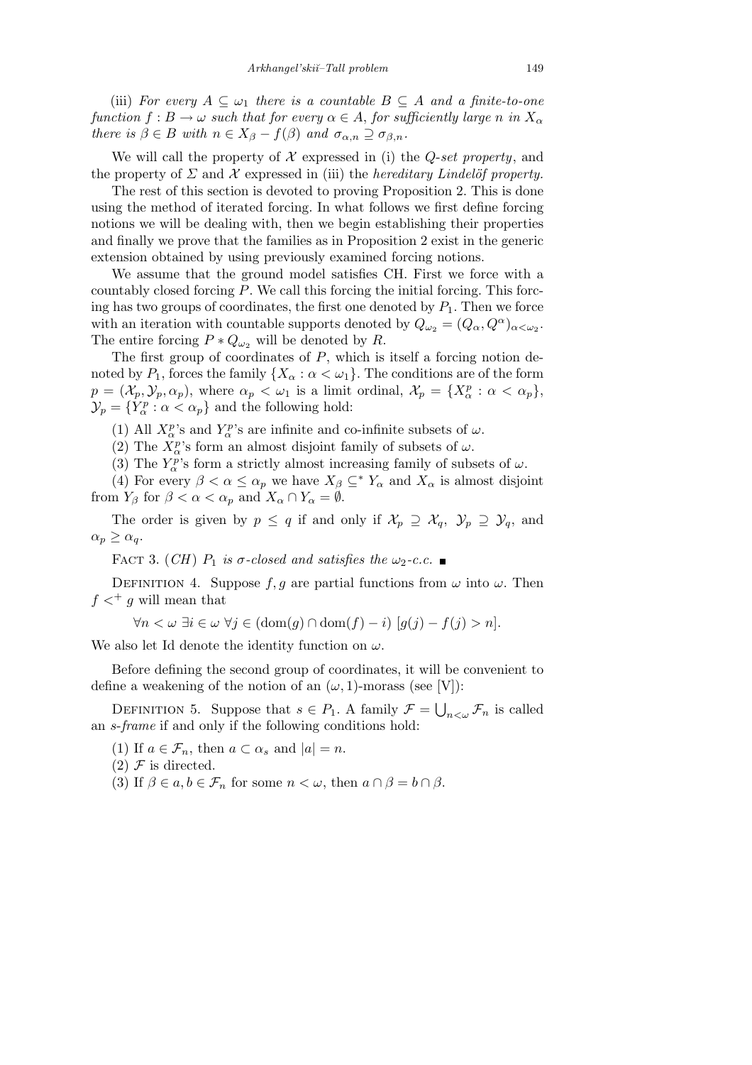(iii) *For every*  $A \subseteq \omega_1$  *there is a countable*  $B \subseteq A$  *and a finite-to-one function*  $f : B \to \omega$  *such that for every*  $\alpha \in A$ , *for sufficiently large n in*  $X_{\alpha}$ *there is*  $\beta \in B$  *with*  $n \in X_{\beta} - f(\beta)$  *and*  $\sigma_{\alpha,n} \supseteq \sigma_{\beta,n}$ *.* 

We will call the property of  $X$  expressed in (i) the *Q-set property*, and the property of  $\Sigma$  and  $\mathcal X$  expressed in (iii) the *hereditary Lindelöf property.* 

The rest of this section is devoted to proving Proposition 2. This is done using the method of iterated forcing. In what follows we first define forcing notions we will be dealing with, then we begin establishing their properties and finally we prove that the families as in Proposition 2 exist in the generic extension obtained by using previously examined forcing notions.

We assume that the ground model satisfies CH. First we force with a countably closed forcing *P*. We call this forcing the initial forcing. This forcing has two groups of coordinates, the first one denoted by  $P_1$ . Then we force with an iteration with countable supports denoted by  $Q_{\omega_2} = (Q_{\alpha}, Q^{\alpha})_{\alpha < \omega_2}$ . The entire forcing  $P * Q_{\omega_2}$  will be denoted by *R*.

The first group of coordinates of *P*, which is itself a forcing notion denoted by  $P_1$ , forces the family  $\{X_\alpha : \alpha < \omega_1\}$ . The conditions are of the form  $p = (\mathcal{X}_p, \mathcal{Y}_p, \alpha_p)$ , where  $\alpha_p < \omega_1$  is a limit ordinal,  $\mathcal{X}_p = \{X_\alpha^p : \alpha < \alpha_p\}$ ,  $\mathcal{Y}_p = \{ Y_\alpha^p : \alpha < \alpha_p \}$  and the following hold:

(1) All  $X_{\alpha}^p$ 's and  $Y_{\alpha}^p$ 's are infinite and co-infinite subsets of  $\omega$ .

(2) The  $X^p_\alpha$ 's form an almost disjoint family of subsets of  $\omega$ .

(3) The  $Y_\alpha^p$ 's form a strictly almost increasing family of subsets of  $\omega$ .

(4) For every  $\beta < \alpha \leq \alpha_p$  we have  $X_\beta \subseteq^* Y_\alpha$  and  $X_\alpha$  is almost disjoint from  $Y_\beta$  for  $\beta < \alpha < \alpha_p$  and  $X_\alpha \cap Y_\alpha = \emptyset$ .

The order is given by  $p \leq q$  if and only if  $\mathcal{X}_p \supseteq \mathcal{X}_q$ ,  $\mathcal{Y}_p \supseteq \mathcal{Y}_q$ , and  $\alpha_p \geq \alpha_q$ .

FACT 3. (*CH*)  $P_1$  *is*  $\sigma$ -closed and satisfies the  $\omega_2$ -c.c.

DEFINITION 4. Suppose  $f, g$  are partial functions from  $\omega$  into  $\omega$ . Then  $f \nless^+ g$  will mean that

*∀n*  $\lt \omega \exists i \in \omega \ \forall j \in (\text{dom}(q) \cap \text{dom}(f) - i)$  [ $q(j) - f(j) > n$ ].

We also let Id denote the identity function on *ω*.

Before defining the second group of coordinates, it will be convenient to define a weakening of the notion of an  $(\omega, 1)$ -morass (see [V]):

DEFINITION 5. Suppose that  $s \in P_1$ . A family  $\mathcal{F} =$ Š.  $_{n<\omega}\mathcal{F}_n$  is called an *s*-*frame* if and only if the following conditions hold:

(1) If  $a \in \mathcal{F}_n$ , then  $a \subset \alpha_s$  and  $|a| = n$ .

- $(2)$  *F* is directed.
- (3) If  $\beta \in a, b \in \mathcal{F}_n$  for some  $n < \omega$ , then  $a \cap \beta = b \cap \beta$ .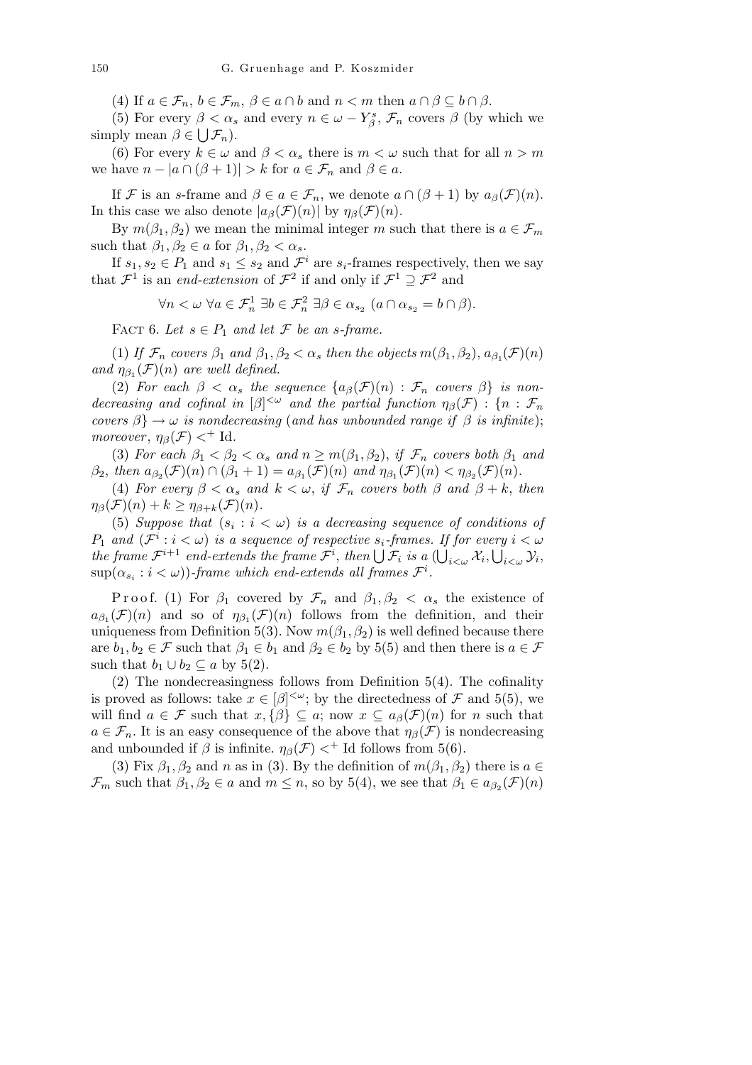(4) If  $a \in \mathcal{F}_n$ ,  $b \in \mathcal{F}_m$ ,  $\beta \in a \cap b$  and  $n < m$  then  $a \cap \beta \subseteq b \cap \beta$ .

(5) For every  $\beta < \alpha_s$  and every  $n \in \omega - Y_\beta^s$ ,  $\mathcal{F}_n$  covers  $\beta$  (by which we simply mean  $\beta \in \bigcup \mathcal{F}_n$ ).

(6) For every  $k \in \omega$  and  $\beta < \alpha_s$  there is  $m < \omega$  such that for all  $n > m$ we have  $n - |a \cap (\beta + 1)| > k$  for  $a \in \mathcal{F}_n$  and  $\beta \in a$ .

If *F* is an *s*-frame and  $\beta \in a \in \mathcal{F}_n$ , we denote  $a \cap (\beta + 1)$  by  $a_{\beta}(\mathcal{F})(n)$ . In this case we also denote  $|a_\beta(\mathcal{F})(n)|$  by  $\eta_\beta(\mathcal{F})(n)$ .

By  $m(\beta_1, \beta_2)$  we mean the minimal integer *m* such that there is  $a \in \mathcal{F}_m$ such that  $\beta_1, \beta_2 \in a$  for  $\beta_1, \beta_2 < \alpha_s$ .

If  $s_1, s_2 \in P_1$  and  $s_1 \leq s_2$  and  $\mathcal{F}^i$  are  $s_i$ -frames respectively, then we say that  $\mathcal{F}^1$  is an *end-extension* of  $\mathcal{F}^2$  if and only if  $\mathcal{F}^1 \supseteq \mathcal{F}^2$  and

 $\forall n \lt \omega \ \forall a \in \mathcal{F}_n^1 \ \exists b \in \mathcal{F}_n^2 \ \exists \beta \in \alpha_{s_2} \ (a \cap \alpha_{s_2} = b \cap \beta).$ 

FACT 6. Let  $s \in P_1$  and let  $\mathcal F$  be an *s*-frame.

(1) *If*  $\mathcal{F}_n$  *covers*  $\beta_1$  *and*  $\beta_1$ ,  $\beta_2 < \alpha_s$  *then the objects*  $m(\beta_1, \beta_2)$ ,  $a_{\beta_1}(\mathcal{F})(n)$ *and*  $\eta_{\beta_1}(\mathcal{F})(n)$  *are well defined.* 

(2) *For each*  $\beta < \alpha_s$  *the sequence*  $\{a_{\beta}(\mathcal{F})(n) : \mathcal{F}_n$  *covers*  $\beta\}$  *is nondecreasing and cofinal in*  $[\beta]^{<\omega}$  *and the partial function*  $\eta_{\beta}(\mathcal{F})$  :  $\{n : \mathcal{F}_n\}$ *covers*  $\beta$ }  $\rightarrow \omega$  *is nondecreasing* (*and has unbounded range if*  $\beta$  *is infinite*); *moreover*,  $\eta_{\beta}(\mathcal{F}) <^+ \text{Id}$ .

(3) *For each*  $\beta_1 < \beta_2 < \alpha_s$  *and*  $n \geq m(\beta_1, \beta_2)$ , *if*  $\mathcal{F}_n$  *covers both*  $\beta_1$  *and*  $\beta_2$ , then  $a_{\beta_2}(\mathcal{F})(n) \cap (\beta_1 + 1) = a_{\beta_1}(\mathcal{F})(n)$  and  $\eta_{\beta_1}(\mathcal{F})(n) < \eta_{\beta_2}(\mathcal{F})(n)$ .

(4) *For every*  $\beta < \alpha_s$  *and*  $k < \omega$ , *if*  $\mathcal{F}_n$  *covers both*  $\beta$  *and*  $\beta + k$ , *then*  $\eta_{\beta}(\mathcal{F})(n) + k \geq \eta_{\beta+k}(\mathcal{F})(n)$ .

(5) *Suppose that*  $(s_i : i < \omega)$  *is a decreasing sequence of conditions of P*<sub>1</sub> and  $(F^i : i < \omega)$  *is a sequence of respective*  $s_i$ *-frames. If for every*  $i < \omega$ *the frame*  $\mathcal{F}^{i+1}$  *end-extends the frame*  $\mathcal{F}^{i}$ *, then*  $\bigcup \mathcal{F}_{i}$  *is a*  $(\bigcup_{i<\omega} \mathcal{X}_{i}, \bigcup_{i<\omega} \mathcal{Y}_{i},$  $\sup(\alpha_{s_i}: i < \omega)$ )-frame which end-extends all frames  $\mathcal{F}^i$ .

Proof. (1) For  $\beta_1$  covered by  $\mathcal{F}_n$  and  $\beta_1, \beta_2 < \alpha_s$  the existence of  $a_{\beta_1}(\mathcal{F})(n)$  and so of  $\eta_{\beta_1}(\mathcal{F})(n)$  follows from the definition, and their uniqueness from Definition 5(3). Now  $m(\beta_1, \beta_2)$  is well defined because there are  $b_1, b_2 \in \mathcal{F}$  such that  $\beta_1 \in b_1$  and  $\beta_2 \in b_2$  by 5(5) and then there is  $a \in \mathcal{F}$ such that  $b_1 \cup b_2 \subseteq a$  by 5(2).

(2) The nondecreasingness follows from Definition 5(4). The cofinality is proved as follows: take  $x \in [\beta]^{<\omega}$ ; by the directedness of  $\mathcal F$  and 5(5), we will find  $a \in \mathcal{F}$  such that  $x, \{\beta\} \subseteq a$ ; now  $x \subseteq a_{\beta}(\mathcal{F})(n)$  for *n* such that  $a \in \mathcal{F}_n$ . It is an easy consequence of the above that  $\eta_\beta(\mathcal{F})$  is nondecreasing and unbounded if  $\beta$  is infinite.  $\eta_{\beta}(\mathcal{F}) <^+$  Id follows from 5(6).

(3) Fix  $\beta_1, \beta_2$  and *n* as in (3). By the definition of  $m(\beta_1, \beta_2)$  there is  $a \in$ *F*<sup>*m*</sup> such that  $\beta_1, \beta_2 \in a$  and  $m \leq n$ , so by 5(4), we see that  $\beta_1 \in a_{\beta_2}(\mathcal{F})(n)$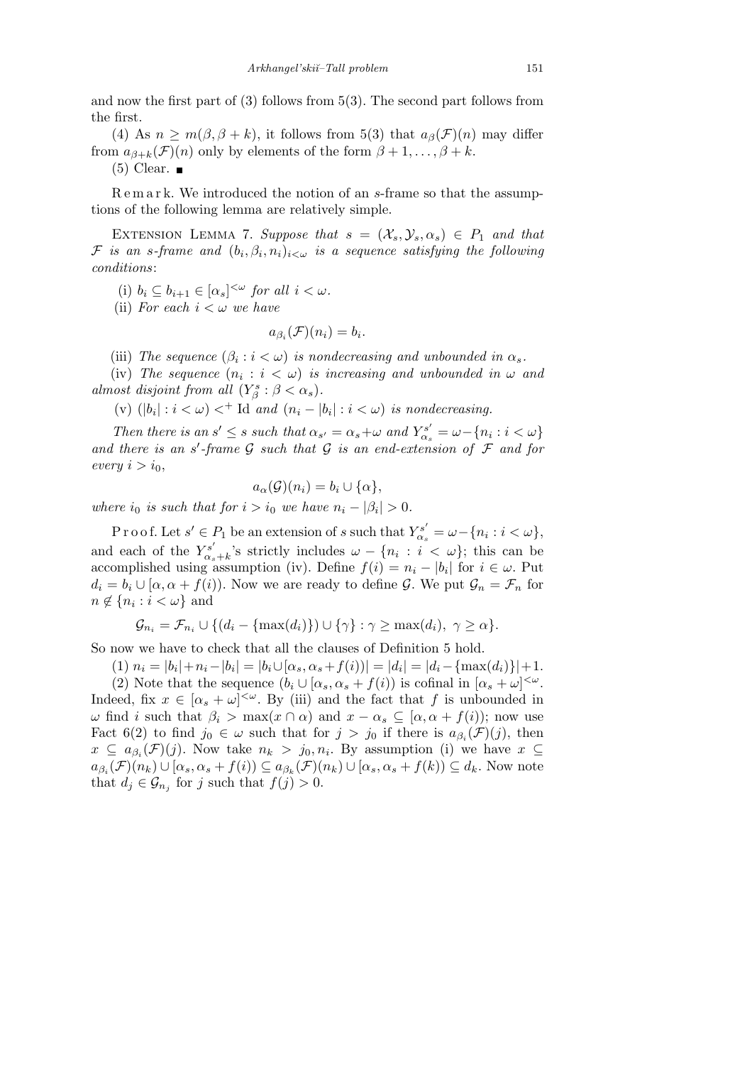and now the first part of (3) follows from 5(3). The second part follows from the first.

(4) As  $n \geq m(\beta, \beta + k)$ , it follows from 5(3) that  $a_{\beta}(\mathcal{F})(n)$  may differ from  $a_{\beta+k}(\mathcal{F})(n)$  only by elements of the form  $\beta+1,\ldots,\beta+k$ .

 $(5)$  Clear.

R e m a r k. We introduced the notion of an *s*-frame so that the assumptions of the following lemma are relatively simple.

EXTENSION LEMMA 7. *Suppose that*  $s = (\mathcal{X}_s, \mathcal{Y}_s, \alpha_s) \in P_1$  and that *F is an s-frame and*  $(b_i, \beta_i, n_i)_{i < \omega}$  *is a sequence satisfying the following conditions*:

(i)  $b_i \subseteq b_{i+1} \in [\alpha_s]^{<\omega}$  for all  $i < \omega$ .

(ii) *For each*  $i < \omega$  *we have* 

$$
a_{\beta_i}(\mathcal{F})(n_i)=b_i.
$$

(iii) *The sequence*  $(\beta_i : i < \omega)$  *is nondecreasing and unbounded in*  $\alpha_s$ *.* 

(iv) The sequence  $(n_i : i < \omega)$  is increasing and unbounded in  $\omega$  and *almost disjoint from all*  $(Y_{\beta}^s : \beta < \alpha_s)$ *.* 

(v)  $(|b_i| : i < \omega) <^+$  Id and  $(n_i - |b_i| : i < \omega)$  is nondecreasing.

Then there is an  $s' \leq s$  such that  $\alpha_{s'} = \alpha_s + \omega$  and  $Y_{\alpha_s}^{s'} = \omega - \{n_i : i < \omega\}$ and there is an  $s'$ -frame  $G$  such that  $G$  is an end-extension of  $F$  and for  $every \ i > i_0,$ 

$$
a_{\alpha}(\mathcal{G})(n_i) = b_i \cup \{\alpha\},\
$$

*where i*<sup>0</sup> *is such that for*  $i > i_0$  *we have*  $n_i - |\beta_i| > 0$ .

P r o o f. Let  $s' \in P_1$  be an extension of  $s$  such that  $Y_{\alpha_s}^{s'} = \omega - \{n_i : i < \omega\},\$ and each of the  $Y_{\alpha}^{s'}$  $\alpha_s$ <sup>*x*</sup></sup>, *s* strictly includes  $\omega - \{n_i : i < \omega\}$ ; this can be accomplished using assumption (iv). Define  $f(i) = n_i - |b_i|$  for  $i \in \omega$ . Put  $d_i = b_i \cup [\alpha, \alpha + f(i)]$ . Now we are ready to define *G*. We put  $\mathcal{G}_n = \mathcal{F}_n$  for  $n \notin \{n_i : i < \omega\}$  and

$$
\mathcal{G}_{n_i} = \mathcal{F}_{n_i} \cup \{ (d_i - \{\max(d_i)\}) \cup \{\gamma\} : \gamma \ge \max(d_i), \ \gamma \ge \alpha \}.
$$

So now we have to check that all the clauses of Definition 5 hold.

(1)  $n_i = |b_i| + n_i - |b_i| = |b_i \cup [\alpha_s, \alpha_s + f(i))| = |d_i| = |d_i - {\max(d_i)}| + 1.$ 

(2) Note that the sequence  $(b_i \cup [\alpha_s, \alpha_s + f(i))$  is cofinal in  $[\alpha_s + \omega]^{<\omega}$ . Indeed, fix  $x \in [\alpha_s + \omega]^{<\omega}$ . By (iii) and the fact that f is unbounded in *ω* find *i* such that  $β_i$  > max( $x \cap α$ ) and  $x − α_s$  ⊆ [ $α, α + f(i)$ ); now use Fact 6(2) to find  $j_0 \in \omega$  such that for  $j > j_0$  if there is  $a_{\beta_i}(\mathcal{F})(j)$ , then  $x \subseteq a_{\beta_i}(\mathcal{F})(j)$ . Now take  $n_k > j_0, n_i$ . By assumption (i) we have  $x \subseteq$  $a_{\beta_i}(\mathcal{F})(n_k) \cup [\alpha_s, \alpha_s + f(i)) \subseteq a_{\beta_k}(\mathcal{F})(n_k) \cup [\alpha_s, \alpha_s + f(k)) \subseteq d_k$ . Now note that  $d_j \in \mathcal{G}_{n_j}$  for *j* such that  $f(j) > 0$ .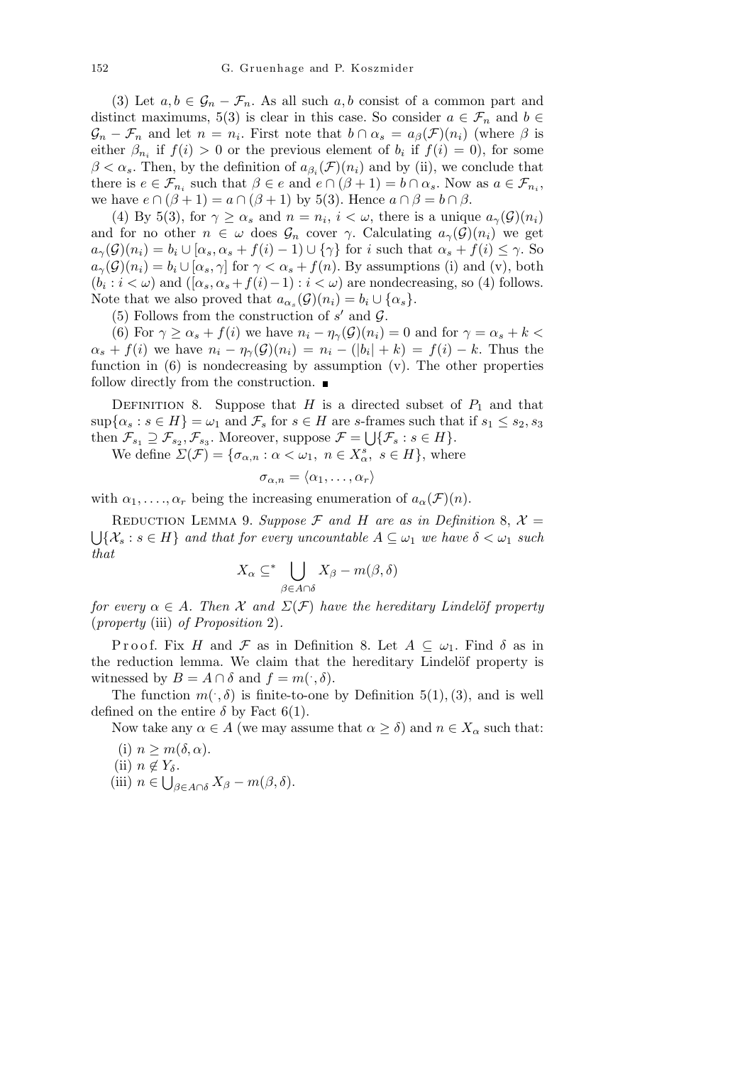(3) Let  $a, b \in \mathcal{G}_n - \mathcal{F}_n$ . As all such  $a, b$  consist of a common part and distinct maximums, 5(3) is clear in this case. So consider  $a \in \mathcal{F}_n$  and  $b \in$  $\mathcal{G}_n - \mathcal{F}_n$  and let  $n = n_i$ . First note that  $b \cap \alpha_s = a_\beta(\mathcal{F})(n_i)$  (where  $\beta$  is either  $\beta_{n_i}$  if  $f(i) > 0$  or the previous element of  $b_i$  if  $f(i) = 0$ , for some  $\beta < \alpha_s$ . Then, by the definition of  $a_{\beta_i}(\mathcal{F})(n_i)$  and by (ii), we conclude that there is  $e \in \mathcal{F}_{n_i}$  such that  $\beta \in e$  and  $e \cap (\beta + 1) = b \cap \alpha_s$ . Now as  $a \in \mathcal{F}_{n_i}$ , we have  $e \cap (\beta + 1) = a \cap (\beta + 1)$  by 5(3). Hence  $a \cap \beta = b \cap \beta$ .

(4) By 5(3), for  $\gamma \ge \alpha_s$  and  $n = n_i$ ,  $i < \omega$ , there is a unique  $a_{\gamma}(\mathcal{G})(n_i)$ and for no other  $n \in \omega$  does  $\mathcal{G}_n$  cover  $\gamma$ . Calculating  $a_{\gamma}(\mathcal{G})(n_i)$  we get  $a_{\gamma}(\mathcal{G})(n_i) = b_i \cup [\alpha_s, \alpha_s + f(i) - 1] \cup {\gamma}$  for i such that  $\alpha_s + f(i) \leq \gamma$ . So  $a_{\gamma}(\mathcal{G})(n_i) = b_i \cup [\alpha_s, \gamma]$  for  $\gamma < \alpha_s + f(n)$ . By assumptions (i) and (v), both  $(b_i : i < \omega)$  and  $((\alpha_s, \alpha_s + f(i) - 1) : i < \omega)$  are nondecreasing, so (4) follows. Note that we also proved that  $a_{\alpha_s}(\mathcal{G})(n_i) = b_i \cup \{\alpha_s\}.$ 

(5) Follows from the construction of  $s'$  and  $\mathcal{G}$ .

(6) For  $\gamma \ge \alpha_s + f(i)$  we have  $n_i - \eta_\gamma(\mathcal{G})(n_i) = 0$  and for  $\gamma = \alpha_s + k$  $\alpha_s + f(i)$  we have  $n_i - \eta_{\gamma}(\mathcal{G})(n_i) = n_i - (|b_i| + k) = f(i) - k$ . Thus the function in (6) is nondecreasing by assumption (v). The other properties follow directly from the construction.  $\blacksquare$ 

DEFINITION 8. Suppose that *H* is a directed subset of  $P_1$  and that  $\sup{\{\alpha_s : s \in H\}} = \omega_1$  and  $\mathcal{F}_s$  for  $s \in H$  are *s*-frames such that if  $s_1 \leq s_2, s_3$ then  $\mathcal{F}_{s_1} \supseteq \mathcal{F}_{s_2}, \mathcal{F}_{s_3}$ . Moreover, suppose  $\mathcal{F} = \bigcup \{ \mathcal{F}_s : s \in H \}.$ 

We define  $\Sigma(\mathcal{F}) = {\sigma_{\alpha,n} : \alpha < \omega_1, n \in X_\alpha^s, s \in H}$ , where

$$
\sigma_{\alpha,n}=\langle \alpha_1,\ldots,\alpha_r\rangle
$$

with  $\alpha_1, \ldots, \alpha_r$  being the increasing enumeration of  $a_\alpha(\mathcal{F})(n)$ .

REDUCTION LEMMA 9. *Suppose*  $\mathcal F$  *and*  $H$  *are as in Definition* 8,  $\mathcal X =$  $\bigcup \{X_s : s \in H\}$  *and that for every uncountable*  $A \subseteq \omega_1$  *we have*  $\delta < \omega_1$  *such that*  $\mathbf{r}$ 

$$
X_{\alpha} \subseteq^* \bigcup_{\beta \in A \cap \delta} X_{\beta} - m(\beta, \delta)
$$

*for every*  $\alpha \in A$ *. Then*  $\mathcal X$  *and*  $\Sigma(\mathcal F)$  *have the hereditary Lindelöf property* (*property* (iii) *of Proposition* 2)*.*

Proof. Fix *H* and *F* as in Definition 8. Let  $A \subseteq \omega_1$ . Find  $\delta$  as in the reduction lemma. We claim that the hereditary Lindelöf property is witnessed by  $B = A \cap \delta$  and  $f = m(\cdot, \delta)$ .

The function  $m(\cdot,\delta)$  is finite-to-one by Definition 5(1), (3), and is well defined on the entire  $\delta$  by Fact 6(1).

Now take any  $\alpha \in A$  (we may assume that  $\alpha \geq \delta$ ) and  $n \in X_{\alpha}$  such that: (i) *n ≥ m*(*δ, α*).

(i) 
$$
n \ge m(\delta, \alpha)
$$
.  
\n(ii)  $n \notin Y_{\delta}$ .  
\n(iii)  $n \in \bigcup_{\beta \in A \cap \delta} X_{\beta} - m(\beta, \delta)$ .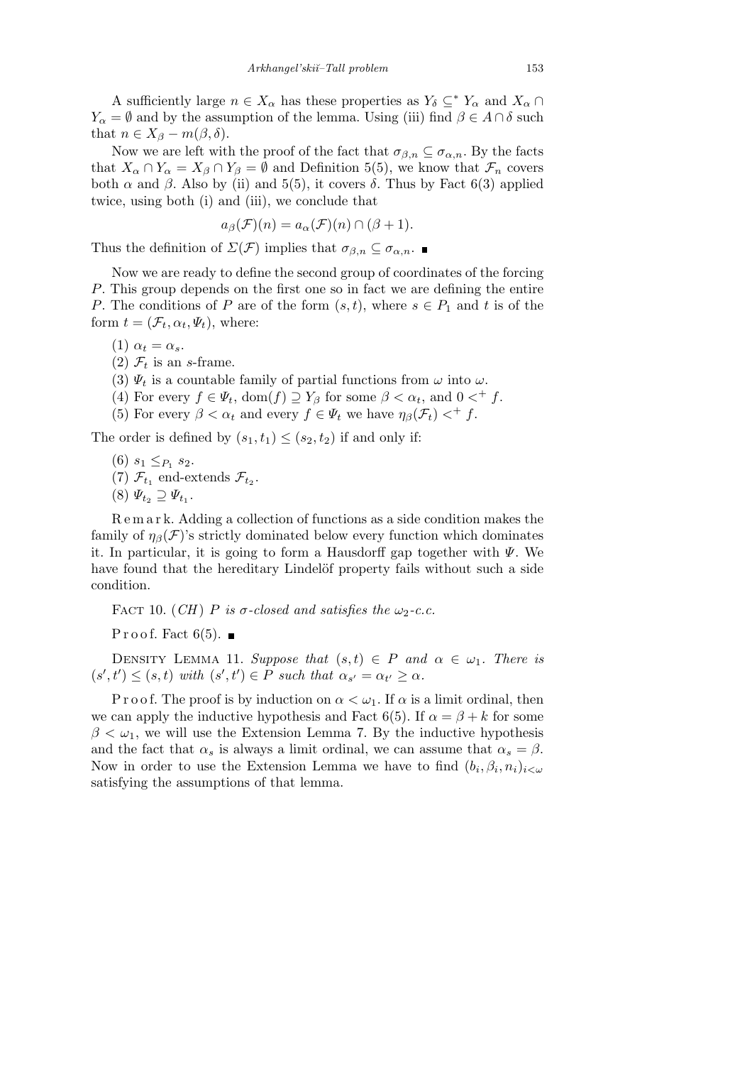A sufficiently large  $n \in X_\alpha$  has these properties as  $Y_\delta \subseteq Y_\alpha$  and  $X_\alpha \cap Y_\alpha$ *Y*<sub>*α*</sub> =  $\emptyset$  and by the assumption of the lemma. Using (iii) find  $\beta \in A \cap \delta$  such that  $n \in X_\beta - m(\beta, \delta)$ .

Now we are left with the proof of the fact that  $\sigma_{\beta,n} \subseteq \sigma_{\alpha,n}$ . By the facts that  $X_\alpha \cap Y_\alpha = X_\beta \cap Y_\beta = \emptyset$  and Definition 5(5), we know that  $\mathcal{F}_n$  covers both *α* and *β*. Also by (ii) and 5(5), it covers *δ*. Thus by Fact 6(3) applied twice, using both (i) and (iii), we conclude that

$$
a_{\beta}(\mathcal{F})(n) = a_{\alpha}(\mathcal{F})(n) \cap (\beta + 1).
$$

Thus the definition of  $\Sigma(\mathcal{F})$  implies that  $\sigma_{\beta,n} \subseteq \sigma_{\alpha,n}$ .

Now we are ready to define the second group of coordinates of the forcing *P*. This group depends on the first one so in fact we are defining the entire *P*. The conditions of *P* are of the form  $(s, t)$ , where  $s \in P_1$  and *t* is of the form  $t = (\mathcal{F}_t, \alpha_t, \Psi_t)$ , where:

- (1)  $\alpha_t = \alpha_s$ .
- (2)  $\mathcal{F}_t$  is an *s*-frame.
- (3)  $\Psi_t$  is a countable family of partial functions from  $\omega$  into  $\omega$ .
- (4) For every  $f \in \Psi_t$ , dom $(f) \supseteq Y_\beta$  for some  $\beta < \alpha_t$ , and  $0 <^+ f$ .
- (5) For every  $\beta < \alpha_t$  and every  $f \in \Psi_t$  we have  $\eta_\beta(\mathcal{F}_t) <^+ f$ .

The order is defined by  $(s_1, t_1) \leq (s_2, t_2)$  if and only if:

- (6)  $s_1 \leq_{P_1} s_2$ . (7)  $\mathcal{F}_{t_1}$  end-extends  $\mathcal{F}_{t_2}$ .
- $(8) \Psi_{t_2} \supseteq \Psi_{t_1}.$

R e m a r k. Adding a collection of functions as a side condition makes the family of  $\eta_{\beta}(\mathcal{F})$ 's strictly dominated below every function which dominates it. In particular, it is going to form a Hausdorff gap together with *Ψ*. We have found that the hereditary Lindelöf property fails without such a side condition.

FACT 10. (*CH*) *P* is  $\sigma$ -closed and satisfies the  $\omega_2$ -c.c.

Proof. Fact  $6(5)$ .

DENSITY LEMMA 11. *Suppose that*  $(s,t) \in P$  *and*  $\alpha \in \omega_1$ . There is  $(s',t') \leq (s,t)$  with  $(s',t') \in P$  such that  $\alpha_{s'} = \alpha_{t'} \geq \alpha$ .

P r o o f. The proof is by induction on  $\alpha < \omega_1$ . If  $\alpha$  is a limit ordinal, then we can apply the inductive hypothesis and Fact 6(5). If  $\alpha = \beta + k$  for some  $\beta < \omega_1$ , we will use the Extension Lemma 7. By the inductive hypothesis and the fact that  $\alpha_s$  is always a limit ordinal, we can assume that  $\alpha_s = \beta$ . Now in order to use the Extension Lemma we have to find  $(b_i, \beta_i, n_i)_{i < \omega}$ satisfying the assumptions of that lemma.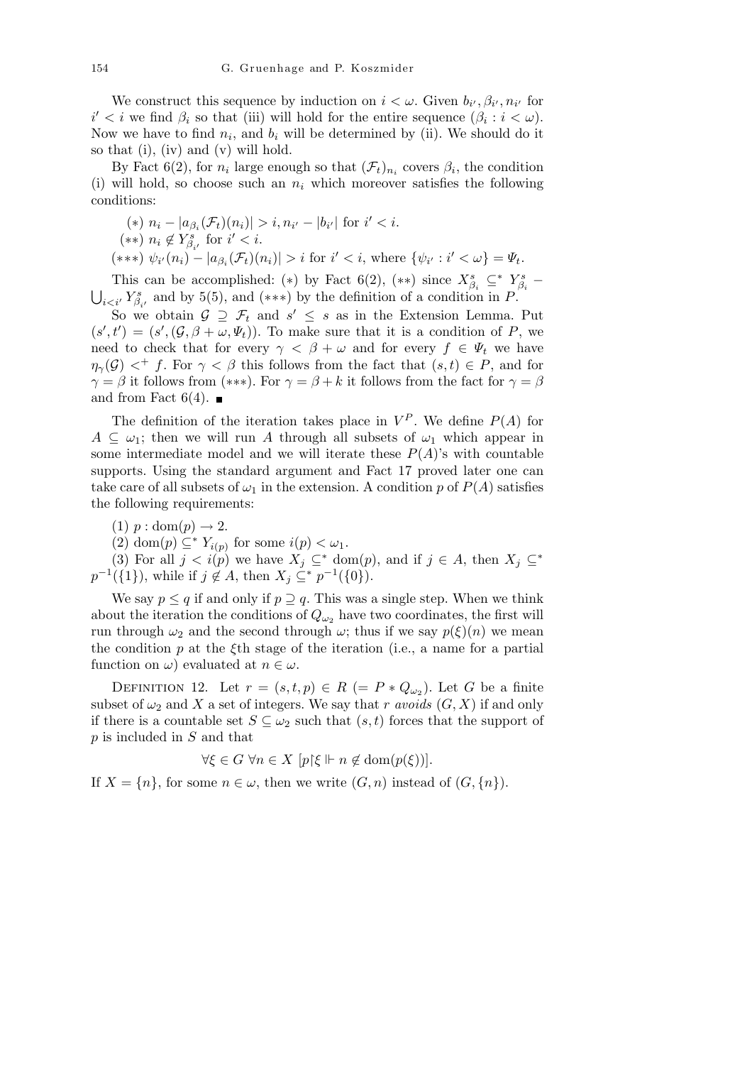We construct this sequence by induction on  $i < \omega$ . Given  $b_{i'}, \beta_{i'}, n_{i'}$  for  $i' < i$  we find  $\beta_i$  so that (iii) will hold for the entire sequence  $(\beta_i : i < \omega)$ . Now we have to find  $n_i$ , and  $b_i$  will be determined by (ii). We should do it so that (i), (iv) and (v) will hold.

By Fact 6(2), for  $n_i$  large enough so that  $(\mathcal{F}_t)_{n_i}$  covers  $\beta_i$ , the condition (i) will hold, so choose such an *n<sup>i</sup>* which moreover satisfies the following conditions:

\n- (\*) 
$$
n_i - |a_{\beta_i}(\mathcal{F}_t)(n_i)| > i, n_{i'} - |b_{i'}|
$$
 for  $i' < i$ .
\n- (\*\*)  $n_i \notin Y_{\beta_{i'}}^s$  for  $i' < i$ .
\n- (\*\*\*)  $\psi_{i'}(n_i) - |a_{\beta_i}(\mathcal{F}_t)(n_i)| > i$  for  $i' < i$ , where  $\{\psi_{i'} : i' < \omega\} = \Psi_t$ .
\n

This can be accomplished: (\*) by Fact 6(2), (\*\*) since  $X_{\beta_i}^s \subseteq Y_{\beta_i}^s$  $i \lt i'$  *Y*<sup>*8*</sup><sub>*β*<sup>*i*</sup></sub> and by 5(5), and (\*\*\*) by the definition of a condition in *P*.

So we obtain  $G \supseteq \mathcal{F}_t$  and  $s' \leq s$  as in the Extension Lemma. Put  $(s', t') = (s', (\mathcal{G}, \beta + \omega, \Psi_t))$ . To make sure that it is a condition of *P*, we need to check that for every  $\gamma < \beta + \omega$  and for every  $f \in \Psi_t$  we have  $\eta_{\gamma}(\mathcal{G})$  *< f*. For  $\gamma < \beta$  this follows from the fact that  $(s,t) \in P$ , and for  $\gamma = \beta$  it follows from (\*\*\*). For  $\gamma = \beta + k$  it follows from the fact for  $\gamma = \beta$ and from Fact  $6(4)$ .

The definition of the iteration takes place in  $V^P$ . We define  $P(A)$  for  $A \subseteq \omega_1$ ; then we will run *A* through all subsets of  $\omega_1$  which appear in some intermediate model and we will iterate these  $P(A)$ 's with countable supports. Using the standard argument and Fact 17 proved later one can take care of all subsets of  $\omega_1$  in the extension. A condition p of  $P(A)$  satisfies the following requirements:

- $(1)$   $p : dom(p) \rightarrow 2$ .
- (2) dom(*p*)  $\subseteq^* Y_{i(p)}$  for some  $i(p) < \omega_1$ .

(3) For all  $j < i(p)$  we have  $X_j \subseteq^* \text{dom}(p)$ , and if  $j \in A$ , then  $X_j \subseteq^*$  $p^{-1}(\{1\})$ , while if  $j \notin A$ , then  $X_j \subseteq^* p^{-1}(\{0\})$ .

We say  $p \leq q$  if and only if  $p \supseteq q$ . This was a single step. When we think about the iteration the conditions of  $Q_{\omega_2}$  have two coordinates, the first will run through  $\omega_2$  and the second through  $\omega$ ; thus if we say  $p(\xi)(n)$  we mean the condition *p* at the *ξ*th stage of the iteration (i.e., a name for a partial function on  $\omega$ ) evaluated at  $n \in \omega$ .

DEFINITION 12. Let  $r = (s, t, p) \in R (= P * Q_{\omega_2})$ . Let *G* be a finite subset of  $\omega_2$  and X a set of integers. We say that *r avoids*  $(G, X)$  if and only if there is a countable set  $S \subseteq \omega_2$  such that  $(s, t)$  forces that the support of *p* is included in *S* and that

$$
\forall \xi \in G \,\,\forall n \in X \,\,[p\,\xi \Vdash n \notin \text{dom}(p(\xi))].
$$

If  $X = \{n\}$ , for some  $n \in \omega$ , then we write  $(G, n)$  instead of  $(G, \{n\})$ .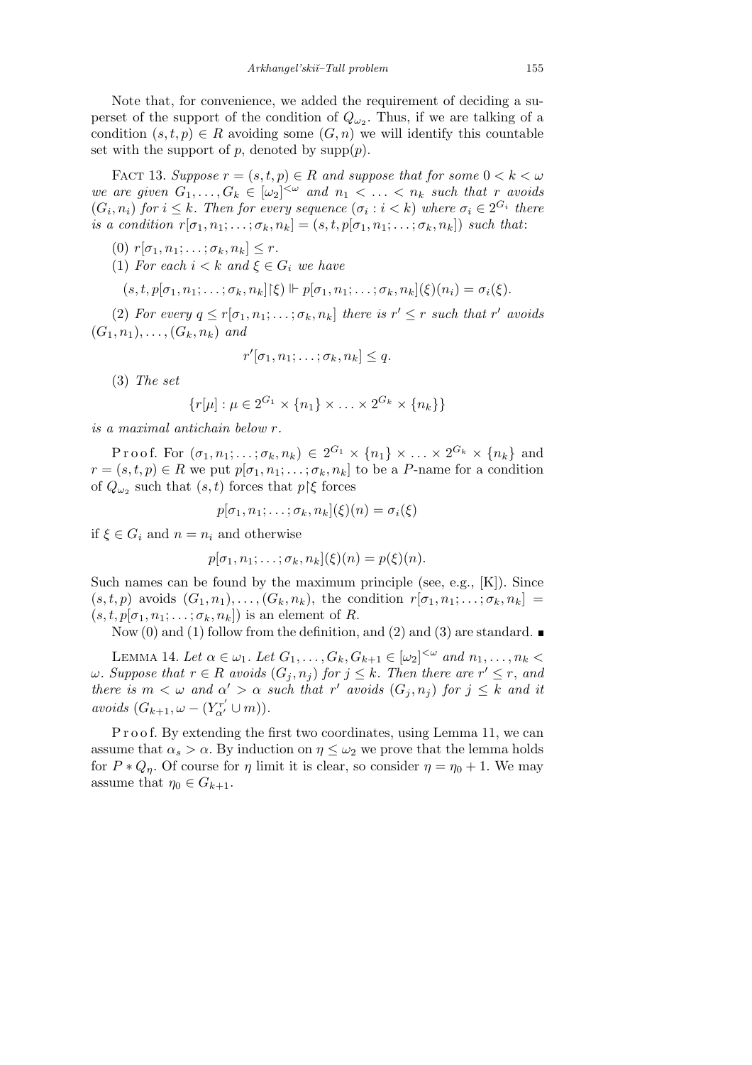Note that, for convenience, we added the requirement of deciding a superset of the support of the condition of  $Q_{\omega_2}$ . Thus, if we are talking of a condition  $(s, t, p) \in R$  avoiding some  $(G, n)$  we will identify this countable set with the support of  $p$ , denoted by  $\text{supp}(p)$ .

FACT 13. *Suppose*  $r = (s, t, p) \in R$  *and suppose that for some*  $0 < k < \omega$ *we are given*  $G_1, \ldots, G_k \in [\omega_2]^{<\omega}$  *and*  $n_1 < \ldots < n_k$  *such that r avoids*  $(G_i, n_i)$  *for*  $i \leq k$ *. Then for every sequence*  $(\sigma_i : i < k)$  *where*  $\sigma_i \in 2^{G_i}$  *there*  $$ 

 $(0)$   $r[\sigma_1, n_1; \ldots; \sigma_k, n_k] \leq r$ .

(1) *For each*  $i < k$  *and*  $\xi \in G_i$  *we have* 

$$
(s,t,p[\sigma_1,n_1;\ldots;\sigma_k,n_k][\xi)] \vdash p[\sigma_1,n_1;\ldots;\sigma_k,n_k](\xi)(n_i) = \sigma_i(\xi).
$$

(2) *For every*  $q \leq r[\sigma_1, n_1; \ldots; \sigma_k, n_k]$  *there is*  $r' \leq r$  *such that*  $r'$  *avoids*  $(G_1, n_1), \ldots, (G_k, n_k)$  *and* 

$$
r'[\sigma_1, n_1; \ldots; \sigma_k, n_k] \leq q.
$$

(3) *The set*

$$
\{r[\mu] : \mu \in 2^{G_1} \times \{n_1\} \times \ldots \times 2^{G_k} \times \{n_k\}\}\
$$

*is a maximal antichain below r.*

Proof. For  $(\sigma_1, n_1; \ldots; \sigma_k, n_k) \in 2^{G_1} \times \{n_1\} \times \ldots \times 2^{G_k} \times \{n_k\}$  and  $r = (s, t, p) \in R$  we put  $p[\sigma_1, n_1; \ldots; \sigma_k, n_k]$  to be a *P*-name for a condition of  $Q_{\omega_2}$  such that  $(s, t)$  forces that  $p \upharpoonright \xi$  forces

$$
p[\sigma_1, n_1; \ldots; \sigma_k, n_k](\xi)(n) = \sigma_i(\xi)
$$

if  $\xi \in G_i$  and  $n = n_i$  and otherwise

$$
p[\sigma_1, n_1; \ldots; \sigma_k, n_k](\xi)(n) = p(\xi)(n).
$$

Such names can be found by the maximum principle (see, e.g., [K]). Since  $(s, t, p)$  avoids  $(G_1, n_1), \ldots, (G_k, n_k)$ , the condition  $r[\sigma_1, n_1; \ldots; \sigma_k, n_k] =$  $(s, t, p[\sigma_1, n_1; \ldots; \sigma_k, n_k])$  is an element of *R*.

Now (0) and (1) follow from the definition, and (2) and (3) are standard.

LEMMA 14. Let  $\alpha \in \omega_1$ . Let  $G_1, \ldots, G_k, G_{k+1} \in [\omega_2]^{<\omega}$  and  $n_1, \ldots, n_k <$  $\omega$ *. Suppose that*  $r \in R$  *avoids*  $(G_j, n_j)$  *for*  $j \leq k$ *. Then there are*  $r' \leq r$ *, and there is*  $m < \omega$  *and*  $\alpha' > \alpha$  *such that*  $r'$  *avoids*  $(G_j, n_j)$  *for*  $j \leq k$  *and it avoids*  $(G_{k+1}, \omega - (Y^{r'}_{\alpha'} \cup m)).$ 

P r o o f. By extending the first two coordinates, using Lemma 11, we can assume that  $\alpha_s > \alpha$ . By induction on  $\eta \leq \omega_2$  we prove that the lemma holds for  $P * Q_n$ . Of course for  $\eta$  limit it is clear, so consider  $\eta = \eta_0 + 1$ . We may assume that  $\eta_0 \in G_{k+1}$ .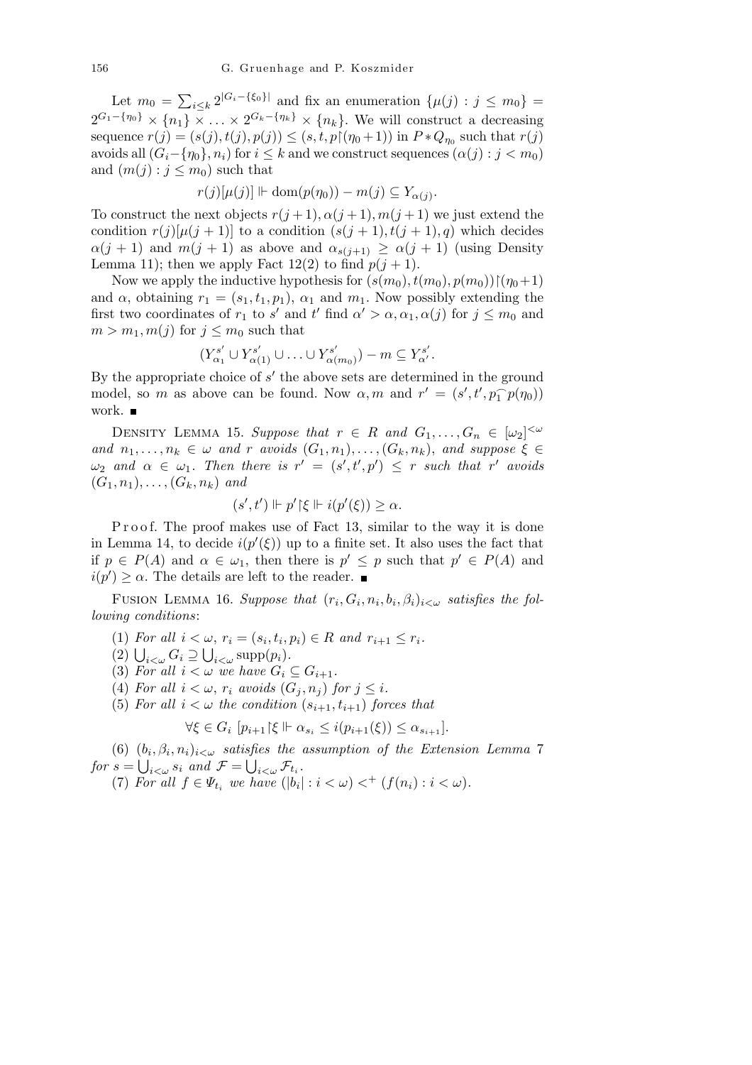Let  $m_0 =$  $\overline{ }$  $\sum_{i \leq k} 2^{|G_i - \{\xi_0\}|}$  and fix an enumeration  $\{\mu(j) : j \leq m_0\}$  $2^{G_1 - \{\eta_0\}} \times \{n_1\} \times \ldots \times 2^{G_k - \{\eta_k\}} \times \{n_k\}.$  We will construct a decreasing sequence  $r(j) = (s(j), t(j), p(j)) \le (s, t, p \mid (n_0 + 1))$  in  $P * Q_{n_0}$  such that  $r(j)$ avoids all  $(G_i - \{\eta_0\}, n_i)$  for  $i \leq k$  and we construct sequences  $(\alpha(j) : j < m_0)$ and  $(m(j) : j \leq m_0)$  such that

$$
r(j)[\mu(j)] \Vdash \text{dom}(p(\eta_0)) - m(j) \subseteq Y_{\alpha(j)}.
$$

To construct the next objects  $r(j+1), \alpha(j+1), m(j+1)$  we just extend the condition  $r(j)[\mu(j+1)]$  to a condition  $(s(j+1), t(j+1), q)$  which decides  $\alpha(j+1)$  and  $m(j+1)$  as above and  $\alpha_{s(j+1)} \geq \alpha(j+1)$  (using Density Lemma 11); then we apply Fact 12(2) to find  $p(j + 1)$ .

Now we apply the inductive hypothesis for  $(s(m_0), t(m_0), p(m_0))\mid (\eta_0+1)$ and  $\alpha$ , obtaining  $r_1 = (s_1, t_1, p_1), \alpha_1$  and  $m_1$ . Now possibly extending the first two coordinates of  $r_1$  to  $s'$  and  $t'$  find  $\alpha' > \alpha, \alpha_1, \alpha(j)$  for  $j \leq m_0$  and  $m > m_1, m(j)$  for  $j \leq m_0$  such that

$$
(Y_{\alpha_1}^{s'} \cup Y_{\alpha(1)}^{s'} \cup \ldots \cup Y_{\alpha(m_0)}^{s'}) - m \subseteq Y_{\alpha'}^{s'}.
$$

By the appropriate choice of  $s'$  the above sets are determined in the ground model, so *m* as above can be found. Now  $\alpha, m$  and  $r' = (s', t', p_1^{-} p(\eta_0))$ work.

DENSITY LEMMA 15. *Suppose that*  $r \in R$  *and*  $G_1, \ldots, G_n \in [\omega_2]^{<\omega}$ *and*  $n_1, \ldots, n_k \in \omega$  *and r avoids*  $(G_1, n_1), \ldots, (G_k, n_k)$ *, and suppose*  $\xi \in$  $\omega_2$  *and*  $\alpha \in \omega_1$ *. Then there is*  $r' = (s', t', p') \leq r$  *such that*  $r'$  *avoids*  $(G_1, n_1), \ldots, (G_k, n_k)$  and

$$
(s',t') \Vdash p' \upharpoonright \xi \Vdash i(p'(\xi)) \geq \alpha.
$$

P r o o f. The proof makes use of Fact 13, similar to the way it is done in Lemma 14, to decide  $i(p'(\xi))$  up to a finite set. It also uses the fact that if  $p \in P(A)$  and  $\alpha \in \omega_1$ , then there is  $p' \leq p$  such that  $p' \in P(A)$  and  $i(p') \geq \alpha$ . The details are left to the reader.

FUSION LEMMA 16. *Suppose that*  $(r_i, G_i, n_i, b_i, \beta_i)_{i < \omega}$  satisfies the fol*lowing conditions*:

 $(1)$  *For all*  $i < \omega$ ,  $r_i = (s_i, t_i, p_i) \in R$  *and*  $r_{i+1} \leq r_i$ .

(1) For all  $i < \omega$ ,  $r_i = (s_i, t_i)$ <br>
(2)  $\bigcup_{i < \omega} G_i \supseteq \bigcup_{i < \omega} \text{supp}(p_i)$ .

(3) For all  $i < \omega$  we have  $G_i \subseteq G_{i+1}$ .

(4) For all  $i < \omega$ ,  $r_i$  avoids  $(G_i, n_j)$  for  $j \leq i$ .

(5) For all  $i < \omega$  the condition  $(s_{i+1}, t_{i+1})$  forces that

$$
\forall \xi \in G_i \ [p_{i+1} | \xi \Vdash \alpha_{s_i} \leq i(p_{i+1}(\xi)) \leq \alpha_{s_{i+1}}].
$$

(6)  $(b_i, \beta_i, n_i)_{i < \omega}$  satisfies the assumption of the Extension Lemma 7 *for*  $s = \bigcup_{i < \omega} s_i$  and  $\mathcal{F} = \bigcup_{i < \omega} \mathcal{F}_{t_i}$ .

(7) *For all*  $f \in \Psi_{t_i}$  *we have*  $(|b_i| : i < \omega) <^+ (f(n_i) : i < \omega)$ *.*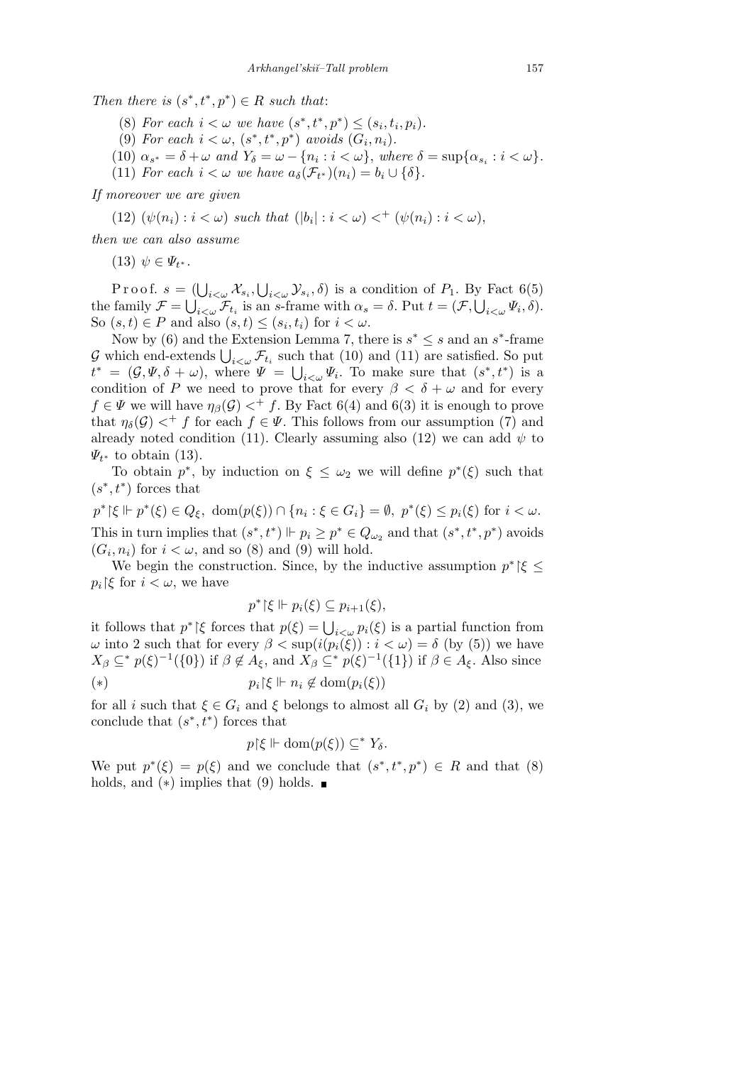*Then there is*  $(s^*, t^*, p^*) \in R$  *such that:* 

- (8) For each  $i < \omega$  we have  $(s^*, t^*, p^*) \leq (s_i, t_i, p_i)$ .
- (9) For each  $i < \omega$ ,  $(s^*, t^*, p^*)$  avoids  $(G_i, n_i)$ .
- (10)  $\alpha_{s^*} = \delta + \omega$  and  $Y_{\delta} = \omega \{n_i : i < \omega\}$ , where  $\delta = \sup{\{\alpha_{s_i} : i < \omega\}}$ .
- (11) *For each*  $i < \omega$  *we have*  $a_{\delta}(\mathcal{F}_{t^*})(n_i) = b_i \cup \{\delta\}.$

*If moreover we are given*

 $(12)$   $(\psi(n_i) : i < \omega)$  *such that*  $(|b_i| : i < \omega) <^+(\psi(n_i) : i < \omega)$ ,

*then we can also assume*

 $(13) \psi \in \Psi_{t^*}.$ 

Proof.  $s = (\bigcup_{i<\omega} \mathcal{X}_{s_i},$ S  $(\bigcup_{i<\omega}\mathcal{X}_{s_i}, \bigcup_{i<\omega}\mathcal{Y}_{s_i}, \delta)$  is a condition of  $P_1$ . By Fact 6(5) the family  $\mathcal{F} = \bigcup_{i < \omega} \mathcal{F}_{t_i}$  is an *s*-frame with  $\alpha_s = \delta$ . Put  $t = (\mathcal{F}, \bigcup_{i < \omega} \Psi_i, \delta)$ . So  $(s, t) \in P$  and also  $(s, t) \leq (s_i, t_i)$  for  $i < \omega$ .

Now by (6) and the Extension Lemma 7, there is  $s^* \leq s$  and an  $s^*$ -frame Frow by (0) and the Extension Lemma *i*, there is  $s \leq s$  and an *s*-frame  $G$  which end-extends  $\bigcup_{i<\omega} \mathcal{F}_{t_i}$  such that (10) and (11) are satisfied. So put  $t^* = (\mathcal{G}, \Psi, \delta + \omega)$ , where  $\Psi = \bigcup_{i < \omega} \Psi_i$ . To make sure that  $(s^*, t^*)$  is a condition of *P* we need to prove that for every  $\beta < \delta + \omega$  and for every  $f \in \Psi$  we will have  $\eta_{\beta}(\mathcal{G}) <^+ f$ . By Fact 6(4) and 6(3) it is enough to prove that  $\eta_{\delta}(\mathcal{G}) <^+ f$  for each  $f \in \Psi$ . This follows from our assumption (7) and already noted condition (11). Clearly assuming also (12) we can add  $\psi$  to *Ψt <sup>∗</sup>* to obtain (13).

To obtain  $p^*$ , by induction on  $\xi \leq \omega_2$  we will define  $p^*(\xi)$  such that  $(s^*, t^*)$  forces that

 $p^*{\upharpoonright}\xi \Vdash p^*(\xi) \in Q_{\xi}$ , dom $(p(\xi)) \cap \{n_i : \xi \in G_i\} = \emptyset$ ,  $p^*(\xi) \leq p_i(\xi)$  for  $i < \omega$ . This in turn implies that  $(s^*, t^*)$   $\Vdash p_i \geq p^* \in Q_{\omega_2}$  and that  $(s^*, t^*, p^*)$  avoids  $(G_i, n_i)$  for  $i < \omega$ , and so (8) and (9) will hold.

We begin the construction. Since, by the inductive assumption  $p^*$   $\xi \leq$  $p_i$ <sup>'</sup> $\xi$ <sup>*f*</sup> for  $i < \omega$ , we have

$$
p^* {\upharpoonright} \xi \Vdash p_i(\xi) \subseteq p_{i+1}(\xi),
$$

it follows that  $p^*$  |*ξ* forces that  $p(\xi) = \bigcup_{i < \omega} p_i(\xi)$  is a partial function from *ω* into 2 such that for every  $β < \sup(i(p_i(\xi)) : i < ω) = δ$  (by (5)) we have  $X_{\beta} \subseteq^* p(\xi)^{-1}(\{0\})$  if  $\beta \notin A_{\xi}$ , and  $X_{\beta} \subseteq^* p(\xi)^{-1}(\{1\})$  if  $\beta \in A_{\xi}$ . Also since (\*)  $p_i \upharpoonright \xi \Vdash n_i \notin \text{dom}(p_i(\xi))$ 

for all *i* such that  $\xi \in G_i$  and  $\xi$  belongs to almost all  $G_i$  by (2) and (3), we conclude that  $(s^*, t^*)$  forces that

$$
p{\restriction}\xi \Vdash \operatorname{dom}(p(\xi)) \subseteq^* Y_\delta.
$$

We put  $p^*(\xi) = p(\xi)$  and we conclude that  $(s^*, t^*, p^*) \in R$  and that (8) holds, and  $(*)$  implies that  $(9)$  holds.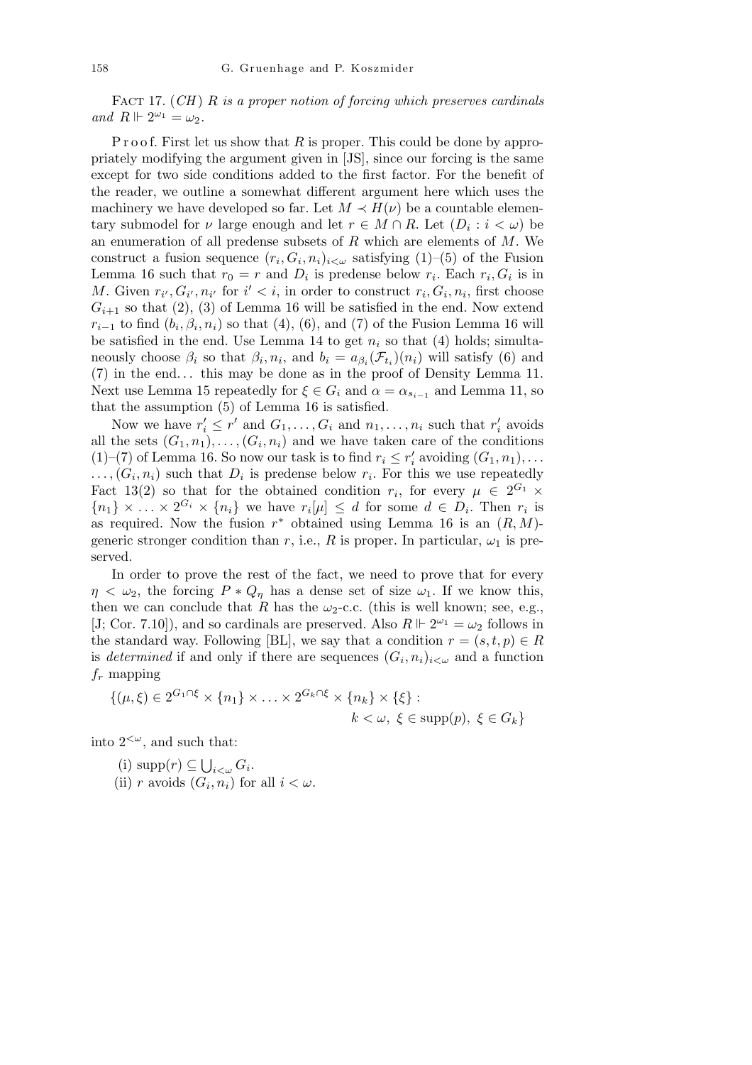Fact 17. (*CH* ) *R is a proper notion of forcing which preserves cardinals*  $and$   $R \Vdash 2^{\omega_1} = \omega_2.$ 

P r o o f. First let us show that R is proper. This could be done by appropriately modifying the argument given in [JS], since our forcing is the same except for two side conditions added to the first factor. For the benefit of the reader, we outline a somewhat different argument here which uses the machinery we have developed so far. Let  $M \prec H(\nu)$  be a countable elementary submodel for *ν* large enough and let  $r \in M \cap R$ . Let  $(D_i : i < \omega)$  be an enumeration of all predense subsets of *R* which are elements of *M*. We construct a fusion sequence  $(r_i, G_i, n_i)_{i \leq \omega}$  satisfying  $(1)$ – $(5)$  of the Fusion Lemma 16 such that  $r_0 = r$  and  $D_i$  is predense below  $r_i$ . Each  $r_i$ ,  $G_i$  is in *M*. Given  $r_{i'}$ ,  $G_{i'}$ ,  $n_{i'}$  for  $i' < i$ , in order to construct  $r_i$ ,  $G_i$ ,  $n_i$ , first choose  $G_{i+1}$  so that (2), (3) of Lemma 16 will be satisfied in the end. Now extend  $r_{i-1}$  to find  $(b_i, \beta_i, n_i)$  so that (4), (6), and (7) of the Fusion Lemma 16 will be satisfied in the end. Use Lemma 14 to get  $n_i$  so that (4) holds; simultaneously choose  $\beta_i$  so that  $\beta_i$ ,  $n_i$ , and  $b_i = a_{\beta_i}(\mathcal{F}_{t_i})(n_i)$  will satisfy (6) and (7) in the end*. . .* this may be done as in the proof of Density Lemma 11. Next use Lemma 15 repeatedly for  $\xi \in G_i$  and  $\alpha = \alpha_{s_{i-1}}$  and Lemma 11, so that the assumption (5) of Lemma 16 is satisfied.

Now we have  $r'_i \leq r'$  and  $G_1, \ldots, G_i$  and  $n_1, \ldots, n_i$  such that  $r'_i$  avoids all the sets  $(G_1, n_1), \ldots, (G_i, n_i)$  and we have taken care of the conditions (1)–(7) of Lemma 16. So now our task is to find  $r_i \leq r'_i$  avoiding  $(G_1, n_1), \ldots$  $\ldots$ ,  $(G_i, n_i)$  such that  $D_i$  is predense below  $r_i$ . For this we use repeatedly Fact 13(2) so that for the obtained condition  $r_i$ , for every  $\mu \in 2^{G_1} \times$  ${n_1} \times \ldots \times 2^{G_i} \times {n_i}$  we have  $r_i[\mu] \leq d$  for some  $d \in D_i$ . Then  $r_i$  is as required. Now the fusion  $r^*$  obtained using Lemma 16 is an  $(R, M)$ generic stronger condition than  $r$ , i.e.,  $R$  is proper. In particular,  $\omega_1$  is preserved.

In order to prove the rest of the fact, we need to prove that for every  $\eta < \omega_2$ , the forcing  $P * Q_n$  has a dense set of size  $\omega_1$ . If we know this, then we can conclude that *R* has the  $\omega_2$ -c.c. (this is well known; see, e.g., [J; Cor. 7.10]), and so cardinals are preserved. Also  $R \Vdash 2^{\omega_1} = \omega_2$  follows in the standard way. Following [BL], we say that a condition  $r = (s, t, p) \in R$ is *determined* if and only if there are sequences  $(G_i, n_i)_{i < \omega}$  and a function *f<sup>r</sup>* mapping

$$
\{(\mu,\xi)\in 2^{G_1\cap\xi}\times\{n_1\}\times\ldots\times 2^{G_k\cap\xi}\times\{n_k\}\times\{\xi\} : k<\omega, \xi\in \mathrm{supp}(p), \xi\in G_k\}
$$

into  $2<sup>{\omega}</sup>$ , and such that:

(i) supp(*r*) *⊆* S  $i<\omega$ <sup> $G_i$ </sup>. (ii) *r* avoids  $(G_i, n_i)$  for all  $i < \omega$ .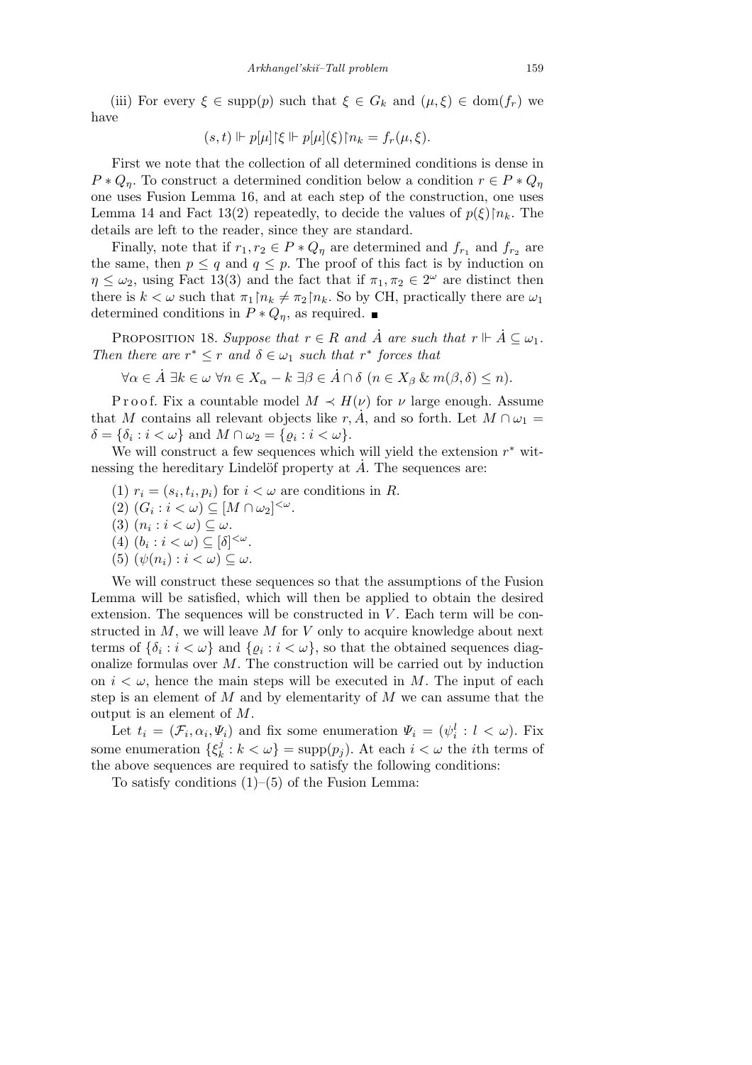(iii) For every  $\xi \in \text{supp}(p)$  such that  $\xi \in G_k$  and  $(\mu, \xi) \in \text{dom}(f_r)$  we have

$$
(s,t) \Vdash p[\mu]{\xi \Vdash p[\mu]}(\xi)\upharpoonright n_k = f_r(\mu,\xi).
$$

First we note that the collection of all determined conditions is dense in  $P * Q_n$ . To construct a determined condition below a condition  $r \in P * Q_n$ one uses Fusion Lemma 16, and at each step of the construction, one uses Lemma 14 and Fact 13(2) repeatedly, to decide the values of  $p(\xi)|n_k$ . The details are left to the reader, since they are standard.

Finally, note that if  $r_1, r_2 \in P * Q_\eta$  are determined and  $f_{r_1}$  and  $f_{r_2}$  are the same, then  $p \leq q$  and  $q \leq p$ . The proof of this fact is by induction on  $\eta \leq \omega_2$ , using Fact 13(3) and the fact that if  $\pi_1, \pi_2 \in 2^{\omega}$  are distinct then there is  $k < \omega$  such that  $\pi_1 \upharpoonright n_k \neq \pi_2 \upharpoonright n_k$ . So by CH, practically there are  $\omega_1$ determined conditions in  $P * Q_n$ , as required.  $\blacksquare$ 

PROPOSITION 18. Suppose that  $r \in R$  and  $\dot{A}$  are such that  $r \Vdash \dot{A} \subseteq \omega_1$ . *Then there are*  $r^* \leq r$  *and*  $\delta \in \omega_1$  *such that*  $r^*$  *forces that* 

$$
\forall \alpha \in \dot{A} \; \exists k \in \omega \; \forall n \in X_{\alpha} - k \; \exists \beta \in \dot{A} \cap \delta \; (n \in X_{\beta} \; \& \; m(\beta, \delta) \leq n).
$$

P r o o f. Fix a countable model  $M \prec H(\nu)$  for  $\nu$  large enough. Assume that *M* contains all relevant objects like  $r, \tilde{A}$ , and so forth. Let  $M \cap \omega_1 =$  $\delta = {\delta_i : i < \omega}$  and  $M \cap \omega_2 = {\varrho_i : i < \omega}$ .

We will construct a few sequences which will yield the extension *r <sup>∗</sup>* witnessing the hereditary Lindelöf property at  $\dot{A}$ . The sequences are:

- (1)  $r_i = (s_i, t_i, p_i)$  for  $i < \omega$  are conditions in *R*.
- $(2)$   $(G_i : i < \omega) \subseteq [M \cap \omega_2]^{<\omega}.$
- $(3)$   $(n_i : i < \omega) \subseteq \omega$ .
- $(4)$   $(b_i : i < \omega) \subseteq [\delta]^{<\omega}.$
- (5)  $(\psi(n_i): i < \omega) \subseteq \omega$ .

We will construct these sequences so that the assumptions of the Fusion Lemma will be satisfied, which will then be applied to obtain the desired extension. The sequences will be constructed in *V*. Each term will be constructed in *M*, we will leave *M* for *V* only to acquire knowledge about next terms of  $\{\delta_i : i < \omega\}$  and  $\{ \varrho_i : i < \omega \}$ , so that the obtained sequences diagonalize formulas over *M*. The construction will be carried out by induction on  $i < \omega$ , hence the main steps will be executed in M. The input of each step is an element of *M* and by elementarity of *M* we can assume that the output is an element of *M*.

Let  $t_i = (\mathcal{F}_i, \alpha_i, \Psi_i)$  and fix some enumeration  $\Psi_i = (\psi_i^l : l < \omega)$ . Fix some enumeration  $\{\xi_k^j\}$  $k<sup>j</sup>$  :  $k < \omega$ } = supp $(p_j)$ . At each  $i < \omega$  the *i*th terms of the above sequences are required to satisfy the following conditions:

To satisfy conditions  $(1)$ – $(5)$  of the Fusion Lemma: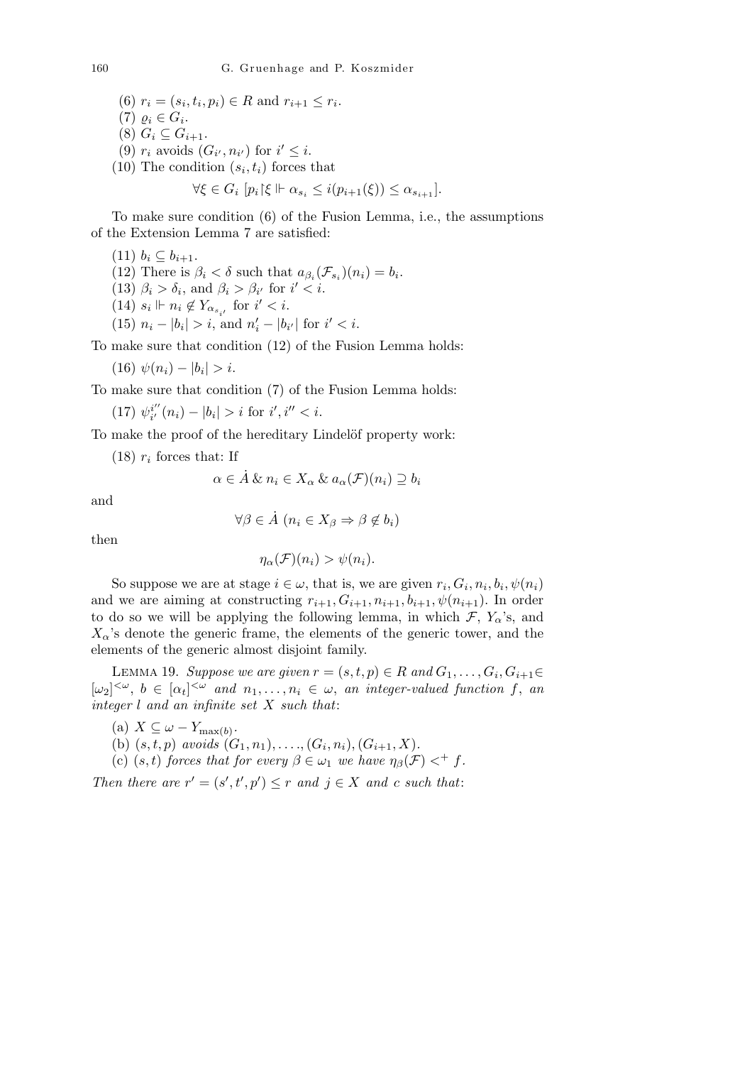$(6)$   $r_i = (s_i, t_i, p_i) \in R$  and  $r_{i+1} \leq r_i$ .  $(7)$   $\varrho_i \in G_i$ .  $(8)$   $G_i \subseteq G_{i+1}$ . (9)  $r_i$  avoids  $(G_{i'}, n_{i'})$  for  $i' \leq i$ . (10) The condition  $(s_i, t_i)$  forces that

$$
\forall \xi \in G_i \ [p_i|\xi \Vdash \alpha_{s_i} \leq i(p_{i+1}(\xi)) \leq \alpha_{s_{i+1}}].
$$

To make sure condition (6) of the Fusion Lemma, i.e., the assumptions of the Extension Lemma 7 are satisfied:

 $(11)$   $b_i$  ⊆  $b_{i+1}$ . (12) There is  $\beta_i < \delta$  such that  $a_{\beta_i}(\mathcal{F}_{s_i})(n_i) = b_i$ . (13)  $\beta_i > \delta_i$ , and  $\beta_i > \beta_{i'}$  for  $i' < i$ . (14)  $s_i \Vdash n_i \notin Y_{\alpha_{s_{i'}}}$  for  $i' < i$ .  $(15)$   $n_i - |b_i| > i$ , and  $n'_i - |b_{i'}|$  for  $i' < i$ .

To make sure that condition (12) of the Fusion Lemma holds:

 $(16)$   $\psi(n_i) - |b_i| > i.$ 

To make sure that condition (7) of the Fusion Lemma holds:

 $(17)$   $\psi^{i''}_{i'}$  $b_i^{i''}(n_i) - |b_i| > i$  for  $i', i'' < i$ .

To make the proof of the hereditary Lindelöf property work:

 $(18)$   $r_i$  forces that: If

$$
\alpha \in \dot{A} \& n_i \in X_\alpha \& a_\alpha(\mathcal{F})(n_i) \supseteq b_i
$$

and

$$
\forall \beta \in \dot{A} \ (n_i \in X_\beta \Rightarrow \beta \notin b_i)
$$

then

$$
\eta_{\alpha}(\mathcal{F})(n_i) > \psi(n_i).
$$

So suppose we are at stage  $i \in \omega$ , that is, we are given  $r_i$ ,  $G_i$ ,  $n_i$ ,  $b_i$ ,  $\psi(n_i)$ and we are aiming at constructing  $r_{i+1}, G_{i+1}, n_{i+1}, b_{i+1}, \psi(n_{i+1})$ . In order to do so we will be applying the following lemma, in which  $\mathcal{F}, Y_{\alpha}$ 's, and  $X_{\alpha}$ 's denote the generic frame, the elements of the generic tower, and the elements of the generic almost disjoint family.

LEMMA 19. *Suppose we are given*  $r = (s, t, p) \in R$  and  $G_1, \ldots, G_i, G_{i+1} \in R$  $[\omega_2]^{<\omega}, b \in [\alpha_t]^{<\omega}$  and  $n_1, \ldots, n_i \in \omega$ , an integer-valued function f, an *integer l and an infinite set X such that*:

- $(x)$   $X \subseteq \omega Y_{\max(b)}$ .
- (b)  $(s, t, p)$  *avoids*  $(G_1, n_1), \ldots, (G_i, n_i), (G_{i+1}, X)$ .
- (c)  $(s, t)$  *forces that for every*  $\beta \in \omega_1$  *we have*  $\eta_\beta(\mathcal{F}) <^+ f$ .

*Then there are*  $r' = (s', t', p') \leq r$  *and*  $j \in X$  *and c such that:*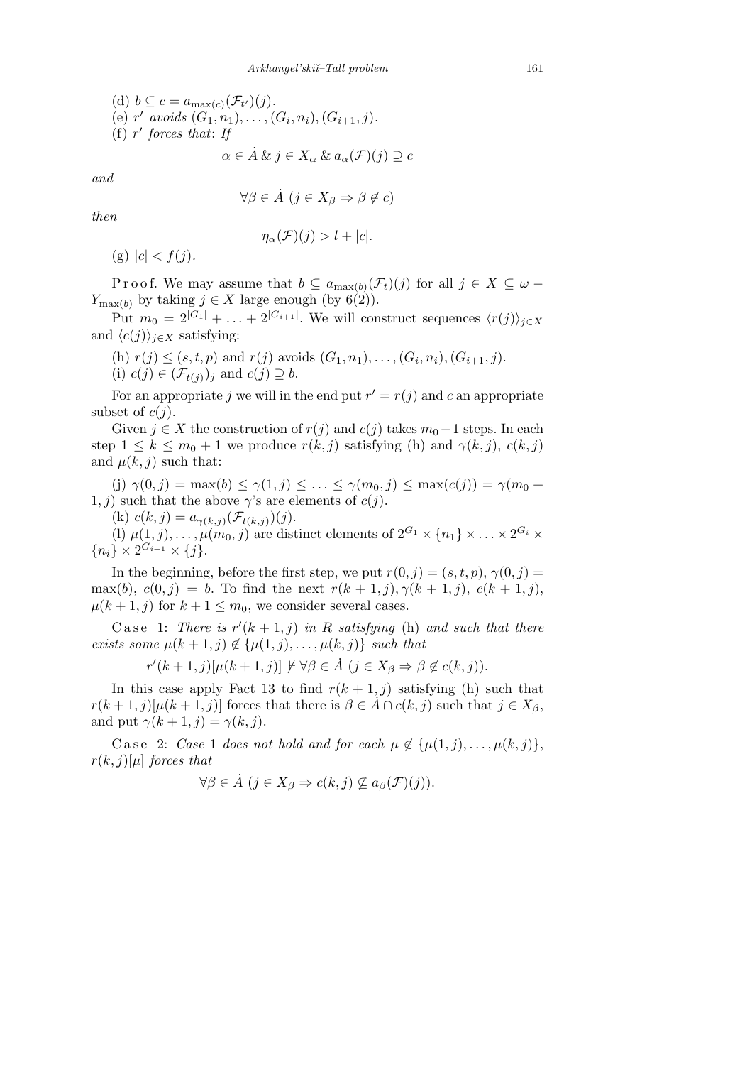\n- (d) 
$$
b \subseteq c = a_{\max(c)}(\mathcal{F}_{t'})(j).
$$
\n- (e)  $r'$  avoids  $(G_1, n_1), \ldots, (G_i, n_i), (G_{i+1}, j).$
\n- (f)  $r'$  forces that: If
\n

 $\alpha \in \mathring{A} \& \jmath \in X_\alpha \& \alpha_\alpha(\mathcal{F})(j) \supseteq c$ 

*and*

$$
\forall \beta \in \dot{A} \ (j \in X_{\beta} \Rightarrow \beta \notin c)
$$

*then*

$$
\eta_{\alpha}(\mathcal{F})(j) > l + |c|.
$$

 $(g) |c| < f(j).$ 

Proof. We may assume that  $b \subseteq a_{\max(b)}(\mathcal{F}_t)(j)$  for all  $j \in X \subseteq \omega$ *Y*<sub>max(*b*)</sub> by taking *j* ∈ *X* large enough (by 6(2)).

Put  $m_0 = 2^{|G_1|} + \ldots + 2^{|G_{i+1}|}$ . We will construct sequences  $\langle r(j) \rangle_{j \in X}$ and  $\langle c(j) \rangle_{j \in X}$  satisfying:

(h) 
$$
r(j) \leq (s, t, p)
$$
 and  $r(j)$  avoids  $(G_1, n_1), \ldots, (G_i, n_i), (G_{i+1}, j)$ . (i)  $c(j) \in (\mathcal{F}_{t(j)})_j$  and  $c(j) \supseteq b$ .

For an appropriate *j* we will in the end put  $r' = r(j)$  and *c* an appropriate subset of  $c(i)$ .

Given  $j \in X$  the construction of  $r(j)$  and  $c(j)$  takes  $m_0+1$  steps. In each step  $1 \leq k \leq m_0 + 1$  we produce  $r(k, j)$  satisfying (h) and  $\gamma(k, j)$ ,  $c(k, j)$ and  $\mu(k, j)$  such that:

 $\gamma(0, j) = \max(b) \leq \gamma(1, j) \leq \ldots \leq \gamma(m_0, j) \leq \max(c(j)) = \gamma(m_0 + j)$ 1, *j*) such that the above  $\gamma$ 's are elements of *c*(*j*).

(k)  $c(k, j) = a_{\gamma(k,j)}(\mathcal{F}_{t(k,j)})(j).$ 

(l)  $\mu(1, j), \ldots, \mu(m_0, j)$  are distinct elements of  $2^{G_1} \times \{n_1\} \times \ldots \times 2^{G_i} \times$  ${n_i} \times 2^{G_{i+1}} \times \{j\}.$ 

In the beginning, before the first step, we put  $r(0, j) = (s, t, p), \gamma(0, j) =$ max(b),  $c(0, j) = b$ . To find the next  $r(k + 1, j)$ ,  $\gamma(k + 1, j)$ ,  $c(k + 1, j)$ ,  $\mu(k+1, j)$  for  $k+1 \leq m_0$ , we consider several cases.

Case 1: *There is*  $r'(k+1, j)$  *in R satisfying* (h) *and such that there exists some*  $\mu(k+1,j) \notin \{\mu(1,j), \ldots, \mu(k,j)\}$  *such that* 

$$
r'(k+1,j)[\mu(k+1,j)] \nVdash \forall \beta \in \dot{A} \ (j \in X_{\beta} \Rightarrow \beta \notin c(k,j)).
$$

In this case apply Fact 13 to find  $r(k + 1, j)$  satisfying (h) such that  $r(k+1, j)[\mu(k+1, j)]$  forces that there is  $\beta \in A \cap c(k, j)$  such that  $j \in X_{\beta}$ , and put  $\gamma(k+1,j) = \gamma(k,j)$ .

Case 2: *Case* 1 *does not hold and for each*  $\mu \notin {\mu(1, j), \ldots, \mu(k, j)}$ ,  $r(k, j)[\mu]$  *forces that* 

$$
\forall \beta \in \dot{A} \ (j \in X_{\beta} \Rightarrow c(k, j) \not\subseteq a_{\beta}(\mathcal{F})(j)).
$$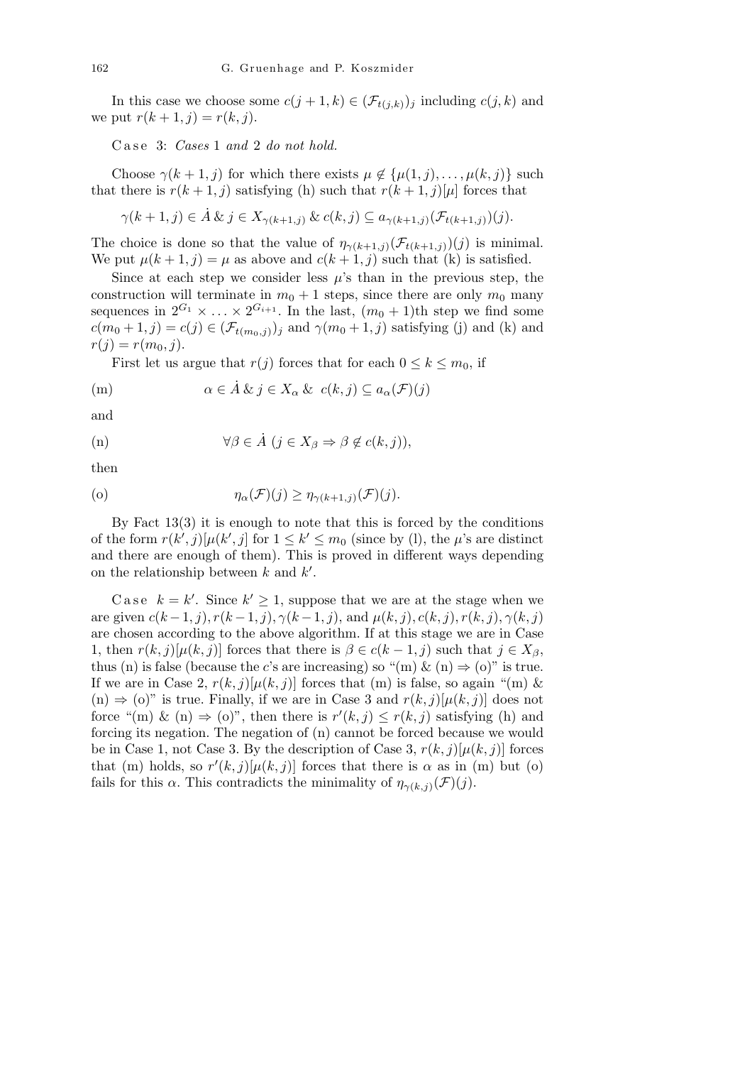In this case we choose some  $c(j + 1, k) \in (\mathcal{F}_{t(j,k)})_j$  including  $c(j, k)$  and we put  $r(k + 1, j) = r(k, j)$ .

Case 3: *Cases* 1 *and* 2 *do not hold.* 

Choose  $\gamma(k+1, j)$  for which there exists  $\mu \notin {\mu(1, j), \ldots, \mu(k, j)}$  such that there is  $r(k+1, j)$  satisfying (h) such that  $r(k+1, j)[\mu]$  forces that

$$
\gamma(k+1,j)\in \dot{A}\ \&\ j\in X_{\gamma(k+1,j)}\ \&\ c(k,j)\subseteq a_{\gamma(k+1,j)}(\mathcal{F}_{t(k+1,j)})(j).
$$

The choice is done so that the value of  $\eta_{\gamma(k+1,j)}(\mathcal{F}_{t(k+1,j)})(j)$  is minimal. We put  $\mu(k+1, j) = \mu$  as above and  $c(k+1, j)$  such that (k) is satisfied.

Since at each step we consider less  $\mu$ 's than in the previous step, the construction will terminate in  $m_0 + 1$  steps, since there are only  $m_0$  many sequences in  $2^{G_1} \times \ldots \times 2^{G_{i+1}}$ . In the last,  $(m_0 + 1)$ th step we find some  $c(m_0 + 1, j) = c(j) \in (\mathcal{F}_{t(m_0, j)})_j$  and  $\gamma(m_0 + 1, j)$  satisfying (j) and (k) and  $r(j) = r(m_0, j).$ 

First let us argue that  $r(j)$  forces that for each  $0 \leq k \leq m_0$ , if

(m) 
$$
\alpha \in \dot{A} \& j \in X_{\alpha} \& c(k, j) \subseteq a_{\alpha}(\mathcal{F})(j)
$$

and

$$
\forall \beta \in \dot{A} \ (j \in X_{\beta} \Rightarrow \beta \notin c(k, j)),
$$

then

(o) 
$$
\eta_{\alpha}(\mathcal{F})(j) \geq \eta_{\gamma(k+1,j)}(\mathcal{F})(j).
$$

By Fact  $13(3)$  it is enough to note that this is forced by the conditions of the form  $r(k', j)[\mu(k', j]$  for  $1 \leq k' \leq m_0$  (since by (l), the  $\mu$ 's are distinct and there are enough of them). This is proved in different ways depending on the relationship between  $k$  and  $k'$ .

Case  $k = k'$ . Since  $k' \geq 1$ , suppose that we are at the stage when we are given  $c(k-1, j)$ ,  $r(k-1, j)$ ,  $\gamma(k-1, j)$ , and  $\mu(k, j)$ ,  $c(k, j)$ ,  $r(k, j)$ ,  $\gamma(k, j)$ are chosen according to the above algorithm. If at this stage we are in Case 1, then  $r(k, j)[\mu(k, j)]$  forces that there is  $\beta \in c(k-1, j)$  such that  $j \in X_{\beta}$ , thus (n) is false (because the *c*'s are increasing) so "(m)  $\&$  (n)  $\Rightarrow$  (o)" is true. If we are in Case 2,  $r(k, j)[\mu(k, j)]$  forces that (m) is false, so again "(m) & (n)  $\Rightarrow$  (o)" is true. Finally, if we are in Case 3 and  $r(k, j)[\mu(k, j)]$  does not force "(m) & (n)  $\Rightarrow$  (o)", then there is  $r'(k, j) \leq r(k, j)$  satisfying (h) and forcing its negation. The negation of (n) cannot be forced because we would be in Case 1, not Case 3. By the description of Case 3,  $r(k, j)[\mu(k, j)]$  forces that (m) holds, so  $r'(k, j)[\mu(k, j)]$  forces that there is  $\alpha$  as in (m) but (o) fails for this  $\alpha$ . This contradicts the minimality of  $\eta_{\gamma(k,j)}(\mathcal{F})(j)$ .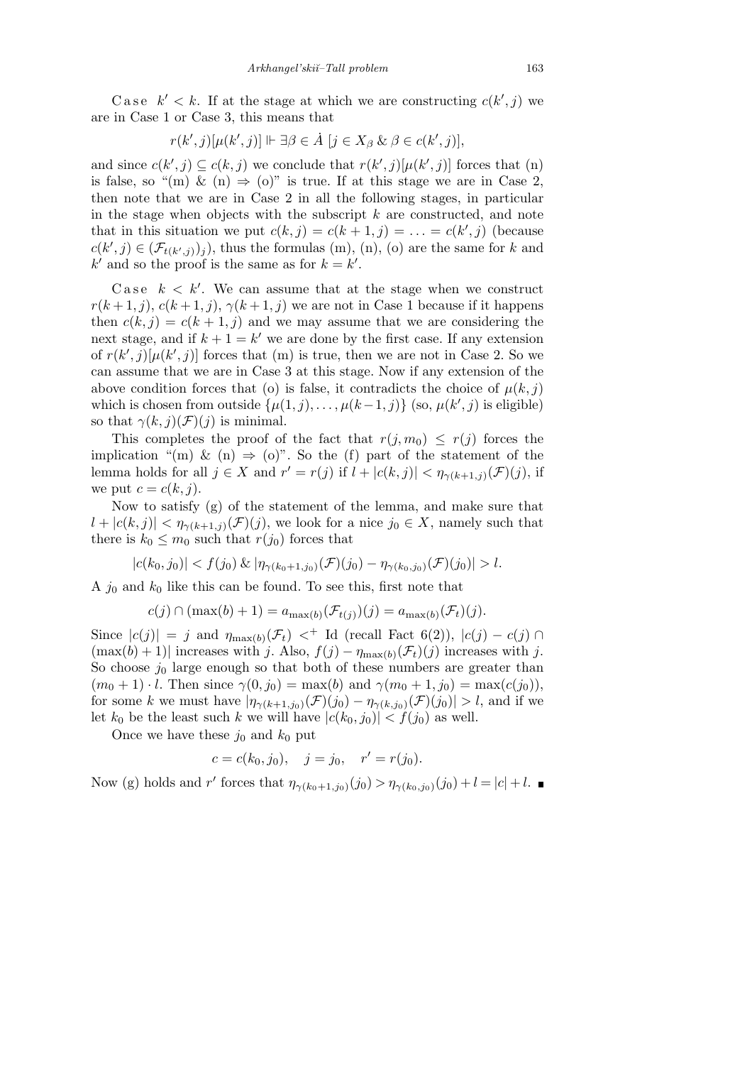Case  $k' < k$ . If at the stage at which we are constructing  $c(k', j)$  we are in Case 1 or Case 3, this means that

$$
r(k',j)[\mu(k',j)] \Vdash \exists \beta \in \dot{A} \; [j \in X_{\beta} \& \beta \in c(k',j)],
$$

and since  $c(k', j) \subseteq c(k, j)$  we conclude that  $r(k', j)[\mu(k', j)]$  forces that (n) is false, so "(m)  $\&$  (n)  $\Rightarrow$  (o)" is true. If at this stage we are in Case 2, then note that we are in Case 2 in all the following stages, in particular in the stage when objects with the subscript *k* are constructed, and note that in this situation we put  $c(k, j) = c(k + 1, j) = \ldots = c(k', j)$  (because  $c(k', j) \in (\mathcal{F}_{t(k', j)})_j$ , thus the formulas (m), (n), (o) are the same for *k* and  $k'$  and so the proof is the same as for  $k = k'$ .

Case  $k < k'$ . We can assume that at the stage when we construct  $r(k+1,j)$ ,  $c(k+1,j)$ ,  $\gamma(k+1,j)$  we are not in Case 1 because if it happens then  $c(k, j) = c(k + 1, j)$  and we may assume that we are considering the next stage, and if  $k + 1 = k'$  we are done by the first case. If any extension of  $r(k', j)[\mu(k', j)]$  forces that (m) is true, then we are not in Case 2. So we can assume that we are in Case 3 at this stage. Now if any extension of the above condition forces that (o) is false, it contradicts the choice of  $\mu(k, j)$ which is chosen from outside  $\{\mu(1, j), \ldots, \mu(k-1, j)\}\$  (so,  $\mu(k', j)$  is eligible) so that  $\gamma(k, j)(\mathcal{F})(j)$  is minimal.

This completes the proof of the fact that  $r(j, m_0) \leq r(j)$  forces the implication "(m)  $\&$  (n)  $\Rightarrow$  (o)". So the (f) part of the statement of the lemma holds for all  $j \in X$  and  $r' = r(j)$  if  $l + |c(k, j)| < \eta_{\gamma(k+1, j)}(\mathcal{F})(j)$ , if we put  $c = c(k, j)$ .

Now to satisfy (g) of the statement of the lemma, and make sure that  $|l + |c(k, j)| < \eta_{\gamma(k+1, j)}(\mathcal{F})(j)$ , we look for a nice  $j_0 \in X$ , namely such that there is  $k_0 \leq m_0$  such that  $r(j_0)$  forces that

$$
|c(k_0, j_0)| < f(j_0) \& |\eta_{\gamma(k_0+1, j_0)}(\mathcal{F})(j_0) - \eta_{\gamma(k_0, j_0)}(\mathcal{F})(j_0)| > l.
$$

A *j*<sup>0</sup> and *k*<sup>0</sup> like this can be found. To see this, first note that

$$
c(j) \cap (\max(b) + 1) = a_{\max(b)}(\mathcal{F}_{t(j)})(j) = a_{\max(b)}(\mathcal{F}_t)(j).
$$

Since  $|c(j)| = j$  and  $\eta_{\max(b)}(\mathcal{F}_t) <^+$  Id (recall Fact 6(2)),  $|c(j) - c(j) \cap$  $(\max(b) + 1)$  increases with *j*. Also,  $f(j) - \eta_{\max(b)}(\mathcal{F}_t)(j)$  increases with *j*. So choose  $j_0$  large enough so that both of these numbers are greater than  $(m_0 + 1) \cdot l$ . Then since  $\gamma(0, j_0) = \max(b)$  and  $\gamma(m_0 + 1, j_0) = \max(c(j_0)),$ for some *k* we must have  $|\eta_{\gamma(k+1,j_0)}(\mathcal{F})(j_0) - \eta_{\gamma(k,j_0)}(\mathcal{F})(j_0)| > l$ , and if we let  $k_0$  be the least such  $k$  we will have  $|c(k_0, j_0)| < f(j_0)$  as well.

Once we have these  $j_0$  and  $k_0$  put

$$
c = c(k_0, j_0), \quad j = j_0, \quad r' = r(j_0).
$$

Now (g) holds and *r'* forces that  $\eta_{\gamma(k_0+1,j_0)}(j_0) > \eta_{\gamma(k_0,j_0)}(j_0) + l = |c| + l$ .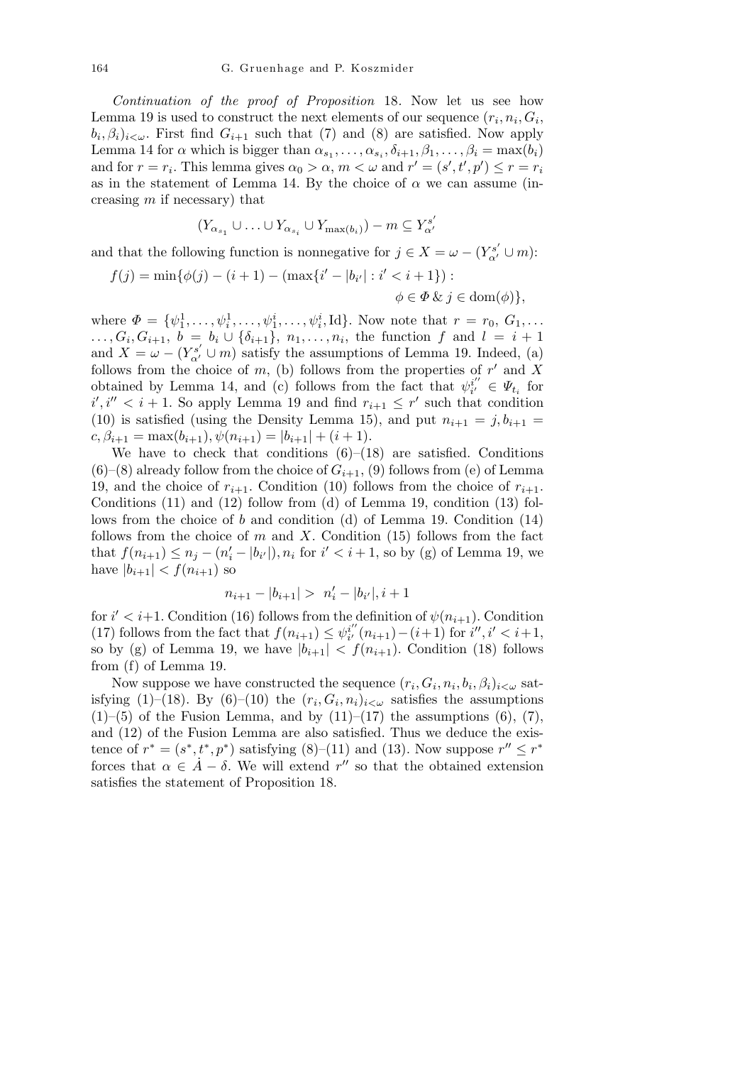*Continuation of the proof of Proposition* 18*.* Now let us see how Lemma 19 is used to construct the next elements of our sequence  $(r_i, n_i, G_i)$  $(b_i, \beta_i)_{i \leq \omega}$ . First find  $G_{i+1}$  such that (7) and (8) are satisfied. Now apply Lemma 14 for  $\alpha$  which is bigger than  $\alpha_{s_1}, \ldots, \alpha_{s_i}, \delta_{i+1}, \beta_1, \ldots, \beta_i = \max(b_i)$ and for  $r = r_i$ . This lemma gives  $\alpha_0 > \alpha$ ,  $m < \omega$  and  $r' = (s', t', p') \le r = r_i$ as in the statement of Lemma 14. By the choice of  $\alpha$  we can assume (increasing *m* if necessary) that

$$
(Y_{\alpha_{s_1}} \cup \ldots \cup Y_{\alpha_{s_i}} \cup Y_{\max(b_i)}) - m \subseteq Y_{\alpha'}^{s'}
$$

and that the following function is nonnegative for  $j \in X = \omega - (Y^{s'}_{\alpha'} \cup m)$ :

$$
f(j) = \min{\{\phi(j) - (i+1) - (\max\{i' - |b_{i'}| : i' < i+1\}) : \phi \in \Phi \& j \in \text{dom}(\phi)\},\}
$$

where  $\Phi = {\psi_1^1, \ldots, \psi_i^1, \ldots, \psi_1^i, \ldots, \psi_i^i, \text{Id}}$ . Now note that  $r = r_0, G_1, \ldots$  $\ldots, G_i, G_{i+1}, b = b_i \cup \{\delta_{i+1}\}, n_1, \ldots, n_i$ , the function *f* and  $l = i + 1$ and  $X = \omega - (Y_{\alpha'}^{s'} \cup m)$  satisfy the assumptions of Lemma 19. Indeed, (a) follows from the choice of  $m$ , (b) follows from the properties of  $r'$  and  $\overline{X}$ obtained by Lemma 14, and (c) follows from the fact that  $\psi_i^{i'}$  $\psi_i^{i'} \in \Psi_{t_i}$  for  $i', i'' < i + 1$ . So apply Lemma 19 and find  $r_{i+1} \leq r'$  such that condition (10) is satisfied (using the Density Lemma 15), and put  $n_{i+1} = j, b_{i+1} = j$  $c, \beta_{i+1} = \max(b_{i+1}), \psi(n_{i+1}) = |b_{i+1}| + (i+1).$ 

We have to check that conditions  $(6)$ – $(18)$  are satisfied. Conditions  $(6)-(8)$  already follow from the choice of  $G_{i+1}$ ,  $(9)$  follows from (e) of Lemma 19, and the choice of  $r_{i+1}$ . Condition (10) follows from the choice of  $r_{i+1}$ . Conditions (11) and (12) follow from (d) of Lemma 19, condition (13) follows from the choice of *b* and condition (d) of Lemma 19. Condition (14) follows from the choice of *m* and *X*. Condition (15) follows from the fact that  $f(n_{i+1}) \leq n_j - (n'_i - |b_{i'}|), n_i$  for  $i' < i+1$ , so by (g) of Lemma 19, we have  $|b_{i+1}| < f(n_{i+1})$  so

$$
n_{i+1} - |b_{i+1}| > n'_i - |b_{i'}|, i+1
$$

for  $i' < i+1$ . Condition (16) follows from the definition of  $\psi(n_{i+1})$ . Condition (17) follows from the fact that  $f(n_{i+1}) \leq \psi_i^{i''}$  $i''$ <sub>*i'*</sub> (*n*<sub>*i*+1</sub>) − (*i*+1) for  $i''$ ,  $i' < i+1$ , so by (g) of Lemma 19, we have  $|b_{i+1}| < f(n_{i+1})$ . Condition (18) follows from (f) of Lemma 19.

Now suppose we have constructed the sequence  $(r_i, G_i, n_i, b_i, \beta_i)_{i < \omega}$  satisfying (1)–(18). By (6)–(10) the  $(r_i, G_i, n_i)_{i < \omega}$  satisfies the assumptions  $(1)$ –(5) of the Fusion Lemma, and by  $(11)$ – $(17)$  the assumptions  $(6)$ ,  $(7)$ , and (12) of the Fusion Lemma are also satisfied. Thus we deduce the existence of  $r^* = (s^*, t^*, p^*)$  satisfying (8)–(11) and (13). Now suppose  $r'' \leq r^*$ forces that  $\alpha \in \mathring{A} - \delta$ . We will extend  $r''$  so that the obtained extension satisfies the statement of Proposition 18.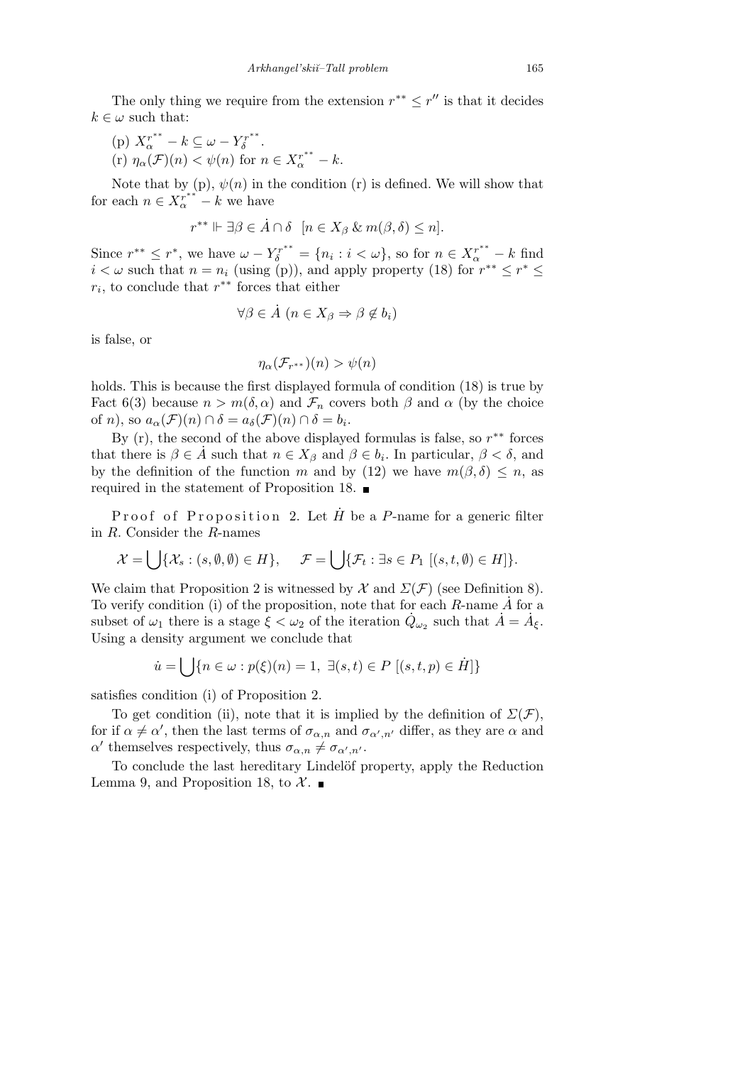The only thing we require from the extension  $r^{**} \leq r''$  is that it decides  $k \in \omega$  such that:

- (p)  $X_{\alpha}^{r^{**}} k \subseteq \omega Y_{\delta}^{r^{**}}$ *δ* .
- $(\text{r})$   $\eta_{\alpha}(\mathcal{F})(n) < \psi(n)$  for  $n \in X_{\alpha}^{r^{**}} k$ .

Note that by  $(p)$ ,  $\psi(n)$  in the condition  $(r)$  is defined. We will show that for each  $n \in X_{\alpha}^{r^{**}} - k$  we have

$$
r^{**} \Vdash \exists \beta \in \dot{A} \cap \delta \ \ [n \in X_{\beta} \& m(\beta, \delta) \leq n].
$$

Since  $r^{**} \leq r^*$ , we have  $\omega - Y_{\delta}^{r^{**}} = \{n_i : i < \omega\}$ , so for  $n \in X_{\alpha}^{r^{**}} - k$  find *i*  $\lt \omega$  such that  $n = n_i$  (using (p)), and apply property (18) for  $r^{**} \leq r^* \leq$ *ri* , to conclude that *r ∗∗* forces that either

$$
\forall \beta \in \dot{A} \ (n \in X_{\beta} \Rightarrow \beta \notin b_i)
$$

is false, or

$$
\eta_{\alpha}(\mathcal{F}_{r^{**}})(n) > \psi(n)
$$

holds. This is because the first displayed formula of condition (18) is true by Fact 6(3) because  $n > m(\delta, \alpha)$  and  $\mathcal{F}_n$  covers both  $\beta$  and  $\alpha$  (by the choice of *n*), so  $a_{\alpha}(\mathcal{F})(n) \cap \delta = a_{\delta}(\mathcal{F})(n) \cap \delta = b_i$ .

By (r), the second of the above displayed formulas is false, so *r ∗∗* forces that there is  $\beta \in \mathring{A}$  such that  $n \in X_\beta$  and  $\beta \in b_i$ . In particular,  $\beta < \delta$ , and by the definition of the function *m* and by (12) we have  $m(\beta, \delta) \leq n$ , as required in the statement of Proposition 18.

Proof of Proposition 2. Let  $\hat{H}$  be a *P*-name for a generic filter in *R*. Consider the *R*-names

$$
\mathcal{X} = \bigcup \{ \mathcal{X}_s : (s, \emptyset, \emptyset) \in H \}, \quad \mathcal{F} = \bigcup \{ \mathcal{F}_t : \exists s \in P_1 \; [(s, t, \emptyset) \in H] \}.
$$

We claim that Proposition 2 is witnessed by  $\mathcal X$  and  $\Sigma(\mathcal F)$  (see Definition 8). To verify condition (i) of the proposition, note that for each  $R$ -name  $\dot{A}$  for a subset of  $\omega_1$  there is a stage  $\zeta < \omega_2$  of the iteration  $\dot{Q}_{\omega_2}$  such that  $\dot{A} = \dot{A}_{\xi}$ . Using a density argument we conclude that

$$
\dot{u} = \bigcup \{ n \in \omega : p(\xi)(n) = 1, \ \exists (s, t) \in P \ [(s, t, p) \in \dot{H}] \}
$$

satisfies condition (i) of Proposition 2.

To get condition (ii), note that it is implied by the definition of  $\Sigma(\mathcal{F})$ , for if  $\alpha \neq \alpha'$ , then the last terms of  $\sigma_{\alpha,n}$  and  $\sigma_{\alpha',n'}$  differ, as they are  $\alpha$  and  $\alpha'$  themselves respectively, thus  $\sigma_{\alpha,n} \neq \sigma_{\alpha',n'}$ .

To conclude the last hereditary Lindelöf property, apply the Reduction Lemma 9, and Proposition 18, to  $\mathcal{X}$ .